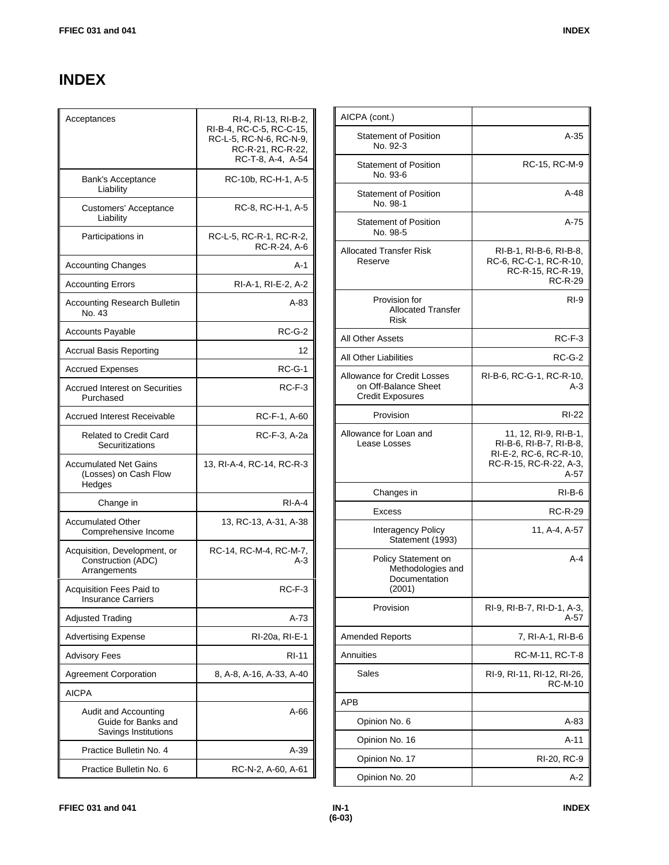## **INDEX**

| Acceptances                                                         | RI-4, RI-13, RI-B-2,<br>RI-B-4, RC-C-5, RC-C-15,<br>RC-L-5, RC-N-6, RC-N-9,<br>RC-R-21, RC-R-22,<br>RC-T-8, A-4, A-54 |
|---------------------------------------------------------------------|-----------------------------------------------------------------------------------------------------------------------|
| Bank's Acceptance<br>Liability                                      | RC-10b, RC-H-1, A-5                                                                                                   |
| Customers' Acceptance<br>Liability                                  | RC-8, RC-H-1, A-5                                                                                                     |
| Participations in                                                   | RC-L-5, RC-R-1, RC-R-2,<br>RC-R-24, A-6                                                                               |
| <b>Accounting Changes</b>                                           | A-1                                                                                                                   |
| <b>Accounting Errors</b>                                            | RI-A-1, RI-E-2, A-2                                                                                                   |
| <b>Accounting Research Bulletin</b><br>No. 43                       | A-83                                                                                                                  |
| <b>Accounts Payable</b>                                             | <b>RC-G-2</b>                                                                                                         |
| <b>Accrual Basis Reporting</b>                                      | 12                                                                                                                    |
| Accrued Expenses                                                    | $RC-G-1$                                                                                                              |
| <b>Accrued Interest on Securities</b><br>Purchased                  | $RC-F-3$                                                                                                              |
| <b>Accrued Interest Receivable</b>                                  | RC-F-1, A-60                                                                                                          |
| <b>Related to Credit Card</b><br>Securitizations                    | RC-F-3, A-2a                                                                                                          |
| <b>Accumulated Net Gains</b><br>(Losses) on Cash Flow<br>Hedges     | 13, RI-A-4, RC-14, RC-R-3                                                                                             |
| Change in                                                           | $RI-A-4$                                                                                                              |
| <b>Accumulated Other</b><br>Comprehensive Income                    | 13, RC-13, A-31, A-38                                                                                                 |
| Acquisition, Development, or<br>Construction (ADC)<br>Arrangements  | RC-14, RC-M-4, RC-M-7,<br>A-3                                                                                         |
| <b>Acquisition Fees Paid to</b><br><b>Insurance Carriers</b>        | $RC-F-3$                                                                                                              |
| <b>Adjusted Trading</b>                                             | A-73                                                                                                                  |
| <b>Advertising Expense</b>                                          | RI-20a, RI-E-1                                                                                                        |
| <b>Advisory Fees</b>                                                | RI-11                                                                                                                 |
| <b>Agreement Corporation</b>                                        | 8, A-8, A-16, A-33, A-40                                                                                              |
| AICPA                                                               |                                                                                                                       |
| Audit and Accounting<br>Guide for Banks and<br>Savings Institutions | $A-66$                                                                                                                |
| Practice Bulletin No. 4                                             | A-39                                                                                                                  |
| Practice Bulletin No. 6                                             | RC-N-2, A-60, A-61                                                                                                    |

| AICPA (cont.)                                                                  |                                                                                                                |
|--------------------------------------------------------------------------------|----------------------------------------------------------------------------------------------------------------|
| <b>Statement of Position</b><br>No. 92-3                                       | $A-35$                                                                                                         |
| <b>Statement of Position</b><br>No. 93-6                                       | RC-15, RC-M-9                                                                                                  |
| <b>Statement of Position</b><br>No. 98-1                                       | $A-48$                                                                                                         |
| <b>Statement of Position</b><br>No. 98-5                                       | $A-75$                                                                                                         |
| <b>Allocated Transfer Risk</b><br>Reserve                                      | RI-B-1, RI-B-6, RI-B-8,<br>RC-6, RC-C-1, RC-R-10,<br>RC-R-15, RC-R-19,<br><b>RC-R-29</b>                       |
| Provision for<br><b>Allocated Transfer</b><br>Risk                             | $RI-9$                                                                                                         |
| <b>All Other Assets</b>                                                        | RC-F-3                                                                                                         |
| <b>All Other Liabilities</b>                                                   | $RC-G-2$                                                                                                       |
| Allowance for Credit Losses<br>on Off-Balance Sheet<br><b>Credit Exposures</b> | RI-B-6, RC-G-1, RC-R-10,<br>$A-3$                                                                              |
| Provision                                                                      | RI-22                                                                                                          |
| Allowance for Loan and<br>Lease Losses                                         | 11, 12, RI-9, RI-B-1,<br>RI-B-6, RI-B-7, RI-B-8,<br>RI-E-2, RC-6, RC-R-10,<br>RC-R-15, RC-R-22, A-3,<br>$A-57$ |
| Changes in                                                                     | $RI-B-6$                                                                                                       |
| <b>Excess</b>                                                                  | <b>RC-R-29</b>                                                                                                 |
| Interagency Policy<br>Statement (1993)                                         | 11, A-4, A-57                                                                                                  |
| Policy Statement on<br>Methodologies and<br>Documentation<br>(2001)            | $A - 4$                                                                                                        |
| Provision                                                                      | RI-9, RI-B-7, RI-D-1, A-3,<br>A-57                                                                             |
| <b>Amended Reports</b>                                                         | 7, RI-A-1, RI-B-6                                                                                              |
| Annuities                                                                      | RC-M-11, RC-T-8                                                                                                |
| Sales                                                                          | RI-9, RI-11, RI-12, RI-26,<br>RC-M-10                                                                          |
| <b>APB</b>                                                                     |                                                                                                                |
| Opinion No. 6                                                                  | A-83                                                                                                           |
| Opinion No. 16                                                                 | $A-11$                                                                                                         |
| Opinion No. 17                                                                 | RI-20, RC-9                                                                                                    |
| Opinion No. 20                                                                 | A-2                                                                                                            |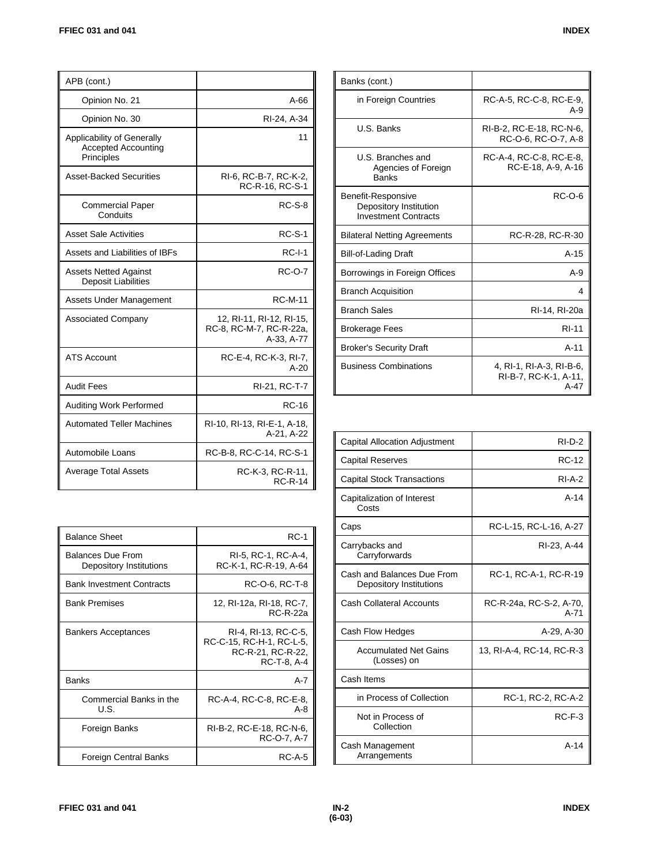| APB (cont.)                                                            |                                                                   |
|------------------------------------------------------------------------|-------------------------------------------------------------------|
| Opinion No. 21                                                         | A-66                                                              |
| Opinion No. 30                                                         | RI-24, A-34                                                       |
| Applicability of Generally<br><b>Accepted Accounting</b><br>Principles | 11                                                                |
| Asset-Backed Securities                                                | RI-6, RC-B-7, RC-K-2,<br>RC-R-16, RC-S-1                          |
| <b>Commercial Paper</b><br>Conduits                                    | $RC-S-8$                                                          |
| <b>Asset Sale Activities</b>                                           | <b>RC-S-1</b>                                                     |
| Assets and Liabilities of IBFs                                         | $RC-I-1$                                                          |
| <b>Assets Netted Against</b><br><b>Deposit Liabilities</b>             | <b>RC-O-7</b>                                                     |
| Assets Under Management                                                | <b>RC-M-11</b>                                                    |
| <b>Associated Company</b>                                              | 12, RI-11, RI-12, RI-15,<br>RC-8, RC-M-7, RC-R-22a,<br>A-33, A-77 |
| <b>ATS Account</b>                                                     | RC-E-4, RC-K-3, RI-7,<br>$A-20$                                   |
| <b>Audit Fees</b>                                                      | RI-21, RC-T-7                                                     |
| <b>Auditing Work Performed</b>                                         | RC-16                                                             |
| <b>Automated Teller Machines</b>                                       | RI-10, RI-13, RI-E-1, A-18,<br>A-21, A-22                         |
| <b>Automobile Loans</b>                                                | RC-B-8, RC-C-14, RC-S-1                                           |
| Average Total Assets                                                   | RC-K-3, RC-R-11,<br><b>RC-R-14</b>                                |

| <b>Balance Sheet</b>                                | <b>RC-1</b>                                                                          |
|-----------------------------------------------------|--------------------------------------------------------------------------------------|
| <b>Balances Due From</b><br>Depository Institutions | RI-5, RC-1, RC-A-4.<br>RC-K-1, RC-R-19, A-64                                         |
| <b>Bank Investment Contracts</b>                    | RC-O-6, RC-T-8                                                                       |
| <b>Bank Premises</b>                                | 12, RI-12a, RI-18, RC-7,<br><b>RC-R-22a</b>                                          |
| <b>Bankers Acceptances</b>                          | RI-4, RI-13, RC-C-5,<br>RC-C-15, RC-H-1, RC-L-5,<br>RC-R-21, RC-R-22.<br>RC-T-8, A-4 |
| <b>Banks</b>                                        | A-7                                                                                  |
| Commercial Banks in the<br>U.S.                     | RC-A-4, RC-C-8, RC-E-8,<br>A-8                                                       |
| Foreign Banks                                       | RI-B-2, RC-E-18, RC-N-6,<br>RC-O-7, A-7                                              |
| Foreign Central Banks                               | <b>RC-A-5</b>                                                                        |

| Banks (cont.)                                                               |                                                           |
|-----------------------------------------------------------------------------|-----------------------------------------------------------|
| in Foreign Countries                                                        | RC-A-5, RC-C-8, RC-E-9,<br>$A-9$                          |
| U.S. Banks                                                                  | RI-B-2. RC-E-18. RC-N-6.<br>RC-O-6, RC-O-7, A-8           |
| U.S. Branches and<br>Agencies of Foreign<br><b>Banks</b>                    | RC-A-4, RC-C-8, RC-E-8,<br>RC-E-18, A-9, A-16             |
| Benefit-Responsive<br>Depository Institution<br><b>Investment Contracts</b> | RC-O-6                                                    |
| <b>Bilateral Netting Agreements</b>                                         | RC-R-28, RC-R-30                                          |
| <b>Bill-of-Lading Draft</b>                                                 | $A-15$                                                    |
| Borrowings in Foreign Offices                                               | $A-9$                                                     |
| <b>Branch Acquisition</b>                                                   | 4                                                         |
| <b>Branch Sales</b>                                                         | RI-14, RI-20a                                             |
| <b>Brokerage Fees</b>                                                       | <b>RI-11</b>                                              |
| <b>Broker's Security Draft</b>                                              | $A-11$                                                    |
| <b>Business Combinations</b>                                                | 4, RI-1, RI-A-3, RI-B-6,<br>RI-B-7, RC-K-1, A-11,<br>A-47 |

| Capital Allocation Adjustment                         | $RI-D-2$                          |
|-------------------------------------------------------|-----------------------------------|
| <b>Capital Reserves</b>                               | <b>RC-12</b>                      |
| <b>Capital Stock Transactions</b>                     | $RI-A-2$                          |
| Capitalization of Interest<br>Costs                   | $A-14$                            |
| Caps                                                  | RC-L-15, RC-L-16, A-27            |
| Carrybacks and<br>Carryforwards                       | RI-23, A-44                       |
| Cash and Balances Due From<br>Depository Institutions | RC-1, RC-A-1, RC-R-19             |
| Cash Collateral Accounts                              | RC-R-24a, RC-S-2, A-70,<br>$A-71$ |
| Cash Flow Hedges                                      | A-29, A-30                        |
| <b>Accumulated Net Gains</b><br>(Losses) on           | 13, RI-A-4, RC-14, RC-R-3         |
| Cash Items                                            |                                   |
| in Process of Collection                              | RC-1, RC-2, RC-A-2                |
| Not in Process of<br>Collection                       | $RC-F-3$                          |
| Cash Management<br>Arrangements                       | $A-14$                            |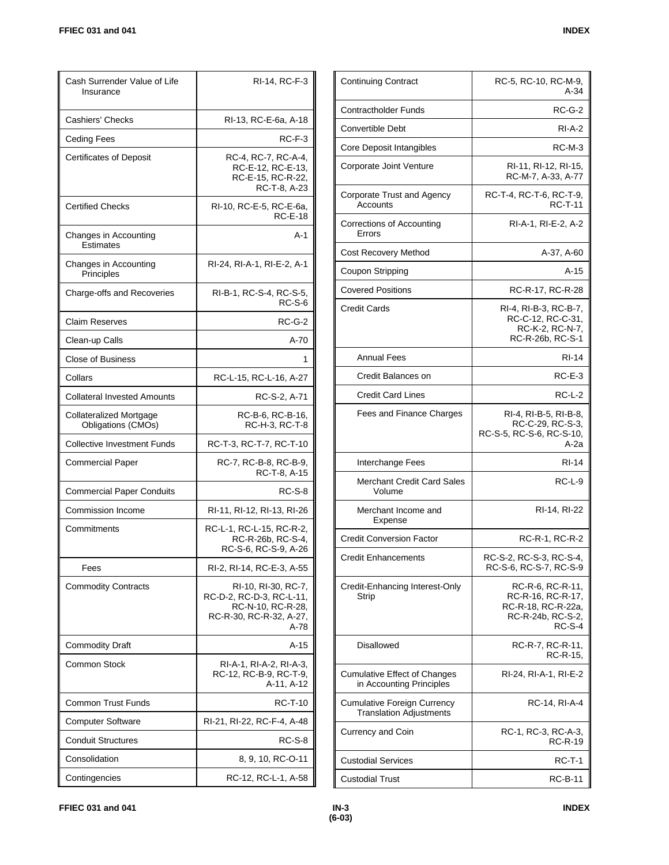| Cash Surrender Value of Life<br>Insurance     | RI-14, RC-F-3                                                                                           |
|-----------------------------------------------|---------------------------------------------------------------------------------------------------------|
| Cashiers' Checks                              | RI-13, RC-E-6a, A-18                                                                                    |
| <b>Ceding Fees</b>                            | RC-F-3                                                                                                  |
| <b>Certificates of Deposit</b>                | RC-4, RC-7, RC-A-4,<br>RC-E-12, RC-E-13,<br>RC-E-15, RC-R-22,<br>RC-T-8, A-23                           |
| <b>Certified Checks</b>                       | RI-10, RC-E-5, RC-E-6a,<br><b>RC-E-18</b>                                                               |
| Changes in Accounting<br><b>Estimates</b>     | A-1                                                                                                     |
| Changes in Accounting<br>Principles           | RI-24, RI-A-1, RI-E-2, A-1                                                                              |
| Charge-offs and Recoveries                    | RI-B-1, RC-S-4, RC-S-5,<br><b>RC-S-6</b>                                                                |
| <b>Claim Reserves</b>                         | $RC-G-2$                                                                                                |
| Clean-up Calls                                | $A-70$                                                                                                  |
| <b>Close of Business</b>                      | 1                                                                                                       |
| Collars                                       | RC-L-15, RC-L-16, A-27                                                                                  |
| <b>Collateral Invested Amounts</b>            | RC-S-2, A-71                                                                                            |
| Collateralized Mortgage<br>Obligations (CMOs) | RC-B-6, RC-B-16,<br>RC-H-3, RC-T-8                                                                      |
| <b>Collective Investment Funds</b>            | RC-T-3, RC-T-7, RC-T-10                                                                                 |
| Commercial Paper                              | RC-7, RC-B-8, RC-B-9,<br>RC-T-8, A-15                                                                   |
| <b>Commercial Paper Conduits</b>              | <b>RC-S-8</b>                                                                                           |
| Commission Income                             | RI-11, RI-12, RI-13, RI-26                                                                              |
| Commitments                                   | RC-L-1, RC-L-15, RC-R-2,<br>RC-R-26b, RC-S-4,<br>RC-S-6, RC-S-9, A-26                                   |
| Fees                                          | RI-2, RI-14, RC-E-3, A-55                                                                               |
| <b>Commodity Contracts</b>                    | RI-10, RI-30, RC-7,<br>RC-D-2, RC-D-3, RC-L-11,<br>RC-N-10, RC-R-28,<br>RC-R-30, RC-R-32, A-27,<br>A-78 |
| <b>Commodity Draft</b>                        | A-15                                                                                                    |
| <b>Common Stock</b>                           | RI-A-1, RI-A-2, RI-A-3,<br>RC-12, RC-B-9, RC-T-9,<br>A-11, A-12                                         |
| <b>Common Trust Funds</b>                     | <b>RC-T-10</b>                                                                                          |
| <b>Computer Software</b>                      | RI-21, RI-22, RC-F-4, A-48                                                                              |
| <b>Conduit Structures</b>                     | RC-S-8                                                                                                  |
| Consolidation                                 | 8, 9, 10, RC-O-11                                                                                       |
| Contingencies                                 | RC-12, RC-L-1, A-58                                                                                     |

| <b>Contractholder Funds</b><br>$RC-G-2$<br>Convertible Debt<br>$RI-A-2$<br>$RC-M-3$<br>Core Deposit Intangibles<br>Corporate Joint Venture<br>RI-11, RI-12, RI-15,<br>RC-M-7, A-33, A-77<br>RC-T-4, RC-T-6, RC-T-9,<br>Corporate Trust and Agency<br><b>RC-T-11</b><br>Accounts<br>Corrections of Accounting<br>RI-A-1, RI-E-2, A-2<br>Errors<br><b>Cost Recovery Method</b><br>A-37, A-60<br>$A-15$<br>Coupon Stripping<br><b>Covered Positions</b><br>RC-R-17, RC-R-28<br><b>Credit Cards</b><br>RI 4, RI B 3, RC B 7, |
|--------------------------------------------------------------------------------------------------------------------------------------------------------------------------------------------------------------------------------------------------------------------------------------------------------------------------------------------------------------------------------------------------------------------------------------------------------------------------------------------------------------------------|
|                                                                                                                                                                                                                                                                                                                                                                                                                                                                                                                          |
|                                                                                                                                                                                                                                                                                                                                                                                                                                                                                                                          |
|                                                                                                                                                                                                                                                                                                                                                                                                                                                                                                                          |
|                                                                                                                                                                                                                                                                                                                                                                                                                                                                                                                          |
|                                                                                                                                                                                                                                                                                                                                                                                                                                                                                                                          |
|                                                                                                                                                                                                                                                                                                                                                                                                                                                                                                                          |
|                                                                                                                                                                                                                                                                                                                                                                                                                                                                                                                          |
|                                                                                                                                                                                                                                                                                                                                                                                                                                                                                                                          |
|                                                                                                                                                                                                                                                                                                                                                                                                                                                                                                                          |
| RC-C-12, RC-C-31,<br>RC-K-2, RC-N-7,<br>RC-R-26b, RC-S-1                                                                                                                                                                                                                                                                                                                                                                                                                                                                 |
| <b>Annual Fees</b><br>RI-14                                                                                                                                                                                                                                                                                                                                                                                                                                                                                              |
| $RC-E-3$<br>Credit Balances on                                                                                                                                                                                                                                                                                                                                                                                                                                                                                           |
| <b>Credit Card Lines</b><br>RC-L-2                                                                                                                                                                                                                                                                                                                                                                                                                                                                                       |
| RI-4, RI-B-5, RI-B-8,<br>Fees and Finance Charges<br>RC-C-29, RC-S-3,<br>RC-S-5, RC-S-6, RC-S-10,<br>A-2a                                                                                                                                                                                                                                                                                                                                                                                                                |
| Interchange Fees<br>RI-14                                                                                                                                                                                                                                                                                                                                                                                                                                                                                                |
| Merchant Credit Card Sales<br>$RC-L-9$<br>Volume                                                                                                                                                                                                                                                                                                                                                                                                                                                                         |
| RI-14, RI-22<br>Merchant Income and<br>Expense                                                                                                                                                                                                                                                                                                                                                                                                                                                                           |
| <b>Credit Conversion Factor</b><br>RC-R-1, RC-R-2                                                                                                                                                                                                                                                                                                                                                                                                                                                                        |
| <b>Credit Enhancements</b><br>RC-S-2, RC-S-3, RC-S-4,<br>RC-S-6, RC-S-7, RC-S-9                                                                                                                                                                                                                                                                                                                                                                                                                                          |
| Credit-Enhancing Interest-Only<br>RC-R-6, RC-R-11,<br>RC-R-16, RC-R-17,<br>Strip<br>RC-R-18, RC-R-22a,<br>RC-R-24b, RC-S-2,<br>$RC-S-4$                                                                                                                                                                                                                                                                                                                                                                                  |
| <b>Disallowed</b><br>RC-R-7, RC-R-11,<br>RC-R-15,                                                                                                                                                                                                                                                                                                                                                                                                                                                                        |
| Cumulative Effect of Changes<br>RI-24, RI-A-1, RI-E-2<br>in Accounting Principles                                                                                                                                                                                                                                                                                                                                                                                                                                        |
| <b>Cumulative Foreign Currency</b><br>RC-14, RI-A-4<br><b>Translation Adjustments</b>                                                                                                                                                                                                                                                                                                                                                                                                                                    |
| RC-1, RC-3, RC-A-3,<br>Currency and Coin<br><b>RC-R-19</b>                                                                                                                                                                                                                                                                                                                                                                                                                                                               |
| <b>Custodial Services</b><br><b>RC-T-1</b>                                                                                                                                                                                                                                                                                                                                                                                                                                                                               |
| <b>Custodial Trust</b><br>RC-B-11                                                                                                                                                                                                                                                                                                                                                                                                                                                                                        |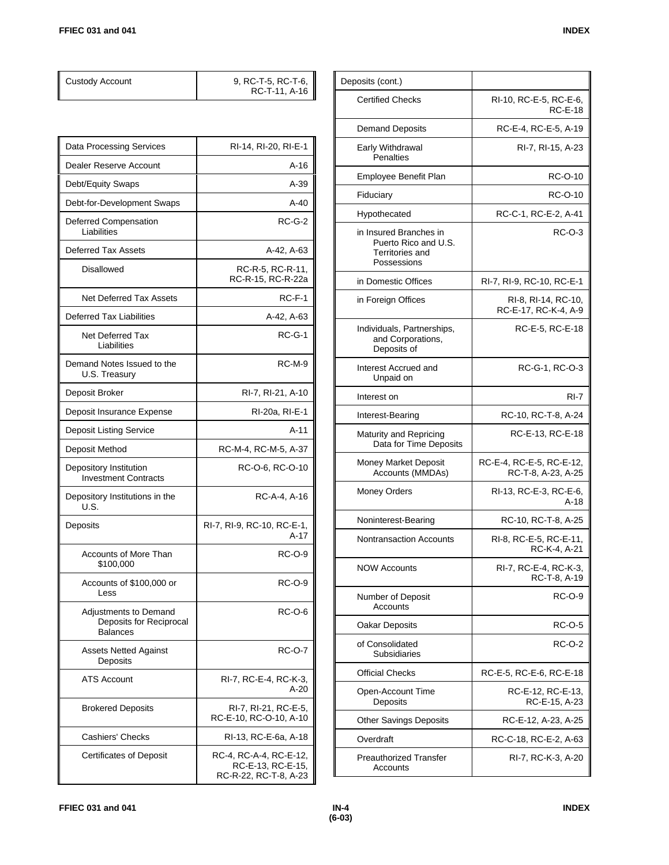| <b>Custody Account</b>                                              | 9, RC-T-5, RC-T-6,<br>RC-T-11, A-16            |
|---------------------------------------------------------------------|------------------------------------------------|
|                                                                     |                                                |
| Data Processing Services                                            | RI-14, RI-20, RI-E-1                           |
| Dealer Reserve Account                                              | A-16                                           |
| Debt/Equity Swaps                                                   | $A-39$                                         |
| Debt-for-Development Swaps                                          | $A-40$                                         |
| Deferred Compensation<br>Liabilities                                | $RC-G-2$                                       |
| <b>Deferred Tax Assets</b>                                          | A-42, A-63                                     |
| <b>Disallowed</b>                                                   | RC-R-5, RC-R-11,<br>RC-R-15, RC-R-22a          |
| Net Deferred Tax Assets                                             | $RC-F-1$                                       |
| <b>Deferred Tax Liabilities</b>                                     | A-42, A-63                                     |
| Net Deferred Tax<br>Liabilities                                     | $RC-G-1$                                       |
| Demand Notes Issued to the<br>U.S. Treasury                         | $RC-M-9$                                       |
| Deposit Broker                                                      | RI-7, RI-21, A-10                              |
| Deposit Insurance Expense                                           | RI-20a, RI-E-1                                 |
| <b>Deposit Listing Service</b>                                      | A-11                                           |
| Deposit Method                                                      | RC-M-4, RC-M-5, A-37                           |
| Depository Institution<br><b>Investment Contracts</b>               | RC-O-6, RC-O-10                                |
| Depository Institutions in the<br>U.S.                              | RC-A-4, A-16                                   |
| Deposits                                                            | RI-7, RI-9, RC-10, RC-E-1,<br>$A-17$           |
| Accounts of More Than<br>\$100,000                                  | RC-O-9                                         |
| Accounts of \$100,000 or<br>Less                                    | RC-O-9                                         |
| Adjustments to Demand<br>Deposits for Reciprocal<br><b>Balances</b> | RC-O-6                                         |
| <b>Assets Netted Against</b><br>Deposits                            | <b>RC-O-7</b>                                  |
| <b>ATS Account</b>                                                  | RI-7, RC-E-4, RC-K-3,<br>A-20                  |
| <b>Brokered Deposits</b>                                            | RI-7, RI-21, RC-E-5,<br>RC-E-10, RC-O-10, A-10 |
| Cashiers' Checks                                                    | RI-13, RC-E-6a, A-18                           |
| Certificates of Deposit                                             | RC-4, RC-A-4, RC-E-12,                         |

| Deposits (cont.)                                                                 |                                                |
|----------------------------------------------------------------------------------|------------------------------------------------|
| <b>Certified Checks</b>                                                          | RI-10, RC-E-5, RC-E-6,<br><b>RC-E-18</b>       |
| <b>Demand Deposits</b>                                                           | RC-E-4, RC-E-5, A-19                           |
| Early Withdrawal<br><b>Penalties</b>                                             | RI-7, RI-15, A-23                              |
| Employee Benefit Plan                                                            | RC-O-10                                        |
| Fiduciary                                                                        | RC-O-10                                        |
| Hypothecated                                                                     | RC-C-1, RC-E-2, A-41                           |
| in Insured Branches in<br>Puerto Rico and U.S.<br>Territories and<br>Possessions | <b>RC-O-3</b>                                  |
| in Domestic Offices                                                              | RI-7, RI-9, RC-10, RC-E-1                      |
| in Foreign Offices                                                               | RI-8, RI-14, RC-10.<br>RC-E-17, RC-K-4, A-9    |
| Individuals, Partnerships,<br>and Corporations.<br>Deposits of                   | RC-E-5, RC-E-18                                |
| Interest Accrued and<br>Unpaid on                                                | RC-G-1, RC-O-3                                 |
| Interest on                                                                      | RI-7                                           |
| Interest-Bearing                                                                 | RC-10, RC-T-8, A-24                            |
| Maturity and Repricing<br>Data for Time Deposits                                 | RC-E-13, RC-E-18                               |
| Money Market Deposit<br>Accounts (MMDAs)                                         | RC-E-4, RC-E-5, RC-E-12,<br>RC-T-8, A-23, A-25 |
| Money Orders                                                                     | RI-13, RC-E-3, RC-E-6,<br>A-18                 |
| Noninterest-Bearing                                                              | RC-10, RC-T-8, A-25                            |
| Nontransaction Accounts                                                          | RI-8, RC-E-5, RC-E-11,<br>RC-K-4, A-21         |
| <b>NOW Accounts</b>                                                              | RI-7, RC-E-4, RC-K-3,<br>RC-T-8, A-19          |
| Number of Deposit<br>Accounts                                                    | RC-O-9                                         |
| Oakar Deposits                                                                   | RC-O-5                                         |
| of Consolidated<br>Subsidiaries                                                  | RC-O-2                                         |
| <b>Official Checks</b>                                                           | RC-E-5, RC-E-6, RC-E-18                        |
| Open-Account Time<br>Deposits                                                    | RC-E-12, RC-E-13,<br>RC-E-15, A-23             |
| <b>Other Savings Deposits</b>                                                    | RC-E-12, A-23, A-25                            |
| Overdraft                                                                        | RC-C-18, RC-E-2, A-63                          |
| <b>Preauthorized Transfer</b><br>Accounts                                        | RI-7, RC-K-3, A-20                             |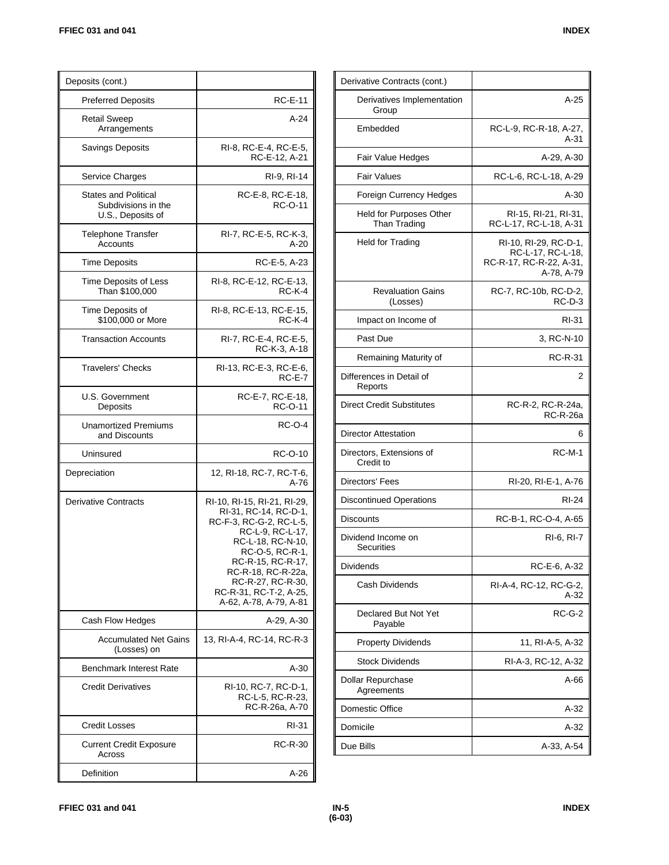| Deposits (cont.)                                                        |                                                                                                                                                                                                                                                                 |
|-------------------------------------------------------------------------|-----------------------------------------------------------------------------------------------------------------------------------------------------------------------------------------------------------------------------------------------------------------|
| <b>Preferred Deposits</b>                                               | <b>RC-E-11</b>                                                                                                                                                                                                                                                  |
| <b>Retail Sweep</b><br>Arrangements                                     | A-24                                                                                                                                                                                                                                                            |
| Savings Deposits                                                        | RI-8, RC-E-4, RC-E-5,<br>RC-E-12, A-21                                                                                                                                                                                                                          |
| Service Charges                                                         | RI-9, RI-14                                                                                                                                                                                                                                                     |
| <b>States and Political</b><br>Subdivisions in the<br>U.S., Deposits of | RC-E-8, RC-E-18,<br><b>RC-O-11</b>                                                                                                                                                                                                                              |
| <b>Telephone Transfer</b><br>Accounts                                   | RI-7, RC-E-5, RC-K-3,<br>A-20                                                                                                                                                                                                                                   |
| <b>Time Deposits</b>                                                    | RC-E-5, A-23                                                                                                                                                                                                                                                    |
| Time Deposits of Less<br>Than \$100,000                                 | RI-8, RC-E-12, RC-E-13,<br>$RC-K-4$                                                                                                                                                                                                                             |
| Time Deposits of<br>\$100,000 or More                                   | RI-8, RC-E-13, RC-E-15,<br><b>RC-K-4</b>                                                                                                                                                                                                                        |
| <b>Transaction Accounts</b>                                             | RI-7, RC-E-4, RC-E-5,<br>RC-K-3, A-18                                                                                                                                                                                                                           |
| <b>Travelers' Checks</b>                                                | RI-13, RC-E-3, RC-E-6,<br>$RC-E-7$                                                                                                                                                                                                                              |
| U.S. Government<br>Deposits                                             | RC-E-7, RC-E-18,<br>RC-O-11                                                                                                                                                                                                                                     |
| <b>Unamortized Premiums</b><br>and Discounts                            | <b>RC-O-4</b>                                                                                                                                                                                                                                                   |
| Uninsured                                                               | RC-O-10                                                                                                                                                                                                                                                         |
| Depreciation                                                            | 12, RI-18, RC-7, RC-T-6,<br>A-76                                                                                                                                                                                                                                |
| <b>Derivative Contracts</b>                                             | RI-10, RI-15, RI-21, RI-29,<br>RI-31, RC-14, RC-D-1,<br>RC-F-3, RC-G-2, RC-L-5,<br>RC-L-9, RC-L-17,<br>RC-L-18, RC-N-10,<br>RC-O-5, RC-R-1,<br>RC-R-15, RC-R-17,<br>RC-R-18, RC-R-22a,<br>RC-R-27, RC-R-30,<br>RC-R-31, RC-T-2, A-25,<br>A-62, A-78, A-79, A-81 |
| Cash Flow Hedges                                                        | A-29, A-30                                                                                                                                                                                                                                                      |
| <b>Accumulated Net Gains</b><br>(Losses) on                             | 13, RI-A-4, RC-14, RC-R-3                                                                                                                                                                                                                                       |
| <b>Benchmark Interest Rate</b>                                          | A-30                                                                                                                                                                                                                                                            |
| <b>Credit Derivatives</b>                                               | RI-10, RC-7, RC-D-1,<br>RC-L-5, RC-R-23,<br>RC-R-26a, A-70                                                                                                                                                                                                      |
| <b>Credit Losses</b>                                                    | RI-31                                                                                                                                                                                                                                                           |
| <b>Current Credit Exposure</b><br>Across                                | RC-R-30                                                                                                                                                                                                                                                         |
| Definition                                                              | A-26                                                                                                                                                                                                                                                            |

| Derivative Contracts (cont.)            |                                                                                     |
|-----------------------------------------|-------------------------------------------------------------------------------------|
| Derivatives Implementation<br>Group     | $A-25$                                                                              |
| Embedded                                | RC-L-9, RC-R-18, A-27,<br>$A-31$                                                    |
| Fair Value Hedges                       | A-29, A-30                                                                          |
| <b>Fair Values</b>                      | RC-L-6, RC-L-18, A-29                                                               |
| Foreign Currency Hedges                 | $A-30$                                                                              |
| Held for Purposes Other<br>Than Trading | RI-15, RI-21, RI-31,<br>RC-L-17, RC-L-18, A-31                                      |
| Held for Trading                        | RI-10, RI-29, RC-D-1,<br>RC-L-17, RC-L-18,<br>RC-R-17, RC-R-22, A-31,<br>A-78, A-79 |
| <b>Revaluation Gains</b><br>(Losses)    | RC-7, RC-10b, RC-D-2,<br>RC-D-3                                                     |
| Impact on Income of                     | RI-31                                                                               |
| Past Due                                | 3, RC-N-10                                                                          |
| Remaining Maturity of                   | RC-R-31                                                                             |
| Differences in Detail of<br>Reports     | 2                                                                                   |
| <b>Direct Credit Substitutes</b>        | RC-R-2, RC-R-24a,<br><b>RC-R-26a</b>                                                |
| <b>Director Attestation</b>             | 6                                                                                   |
| Directors, Extensions of<br>Credit to   | <b>RC-M-1</b>                                                                       |
| Directors' Fees                         | RI-20, RI-E-1, A-76                                                                 |
| <b>Discontinued Operations</b>          | RI-24                                                                               |
| <b>Discounts</b>                        | RC-B-1, RC-O-4, A-65                                                                |
| Dividend Income on<br><b>Securities</b> | RI-6, RI-7                                                                          |
| Dividends                               | RC-E-6, A-32                                                                        |
| Cash Dividends                          | RI-A-4, RC-12, RC-G-2,<br>A-32                                                      |
| Declared But Not Yet<br>Payable         | $RC-G-2$                                                                            |
| <b>Property Dividends</b>               | 11, RI-A-5, A-32                                                                    |
| <b>Stock Dividends</b>                  | RI-A-3, RC-12, A-32                                                                 |
| <b>Dollar Repurchase</b><br>Agreements  | A-66                                                                                |
| Domestic Office                         | A-32                                                                                |
| Domicile                                | A-32                                                                                |
| Due Bills                               | A-33, A-54                                                                          |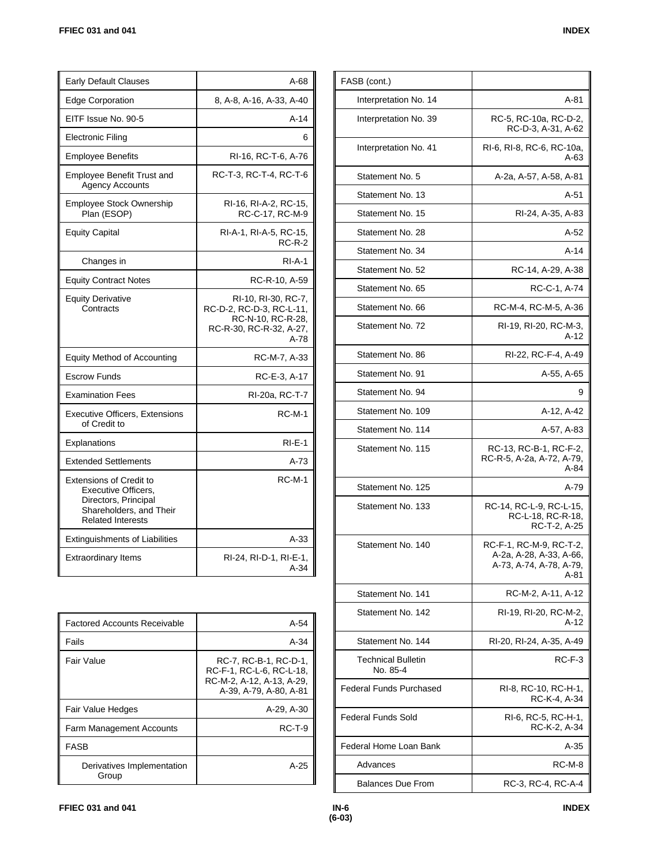| <b>Early Default Clauses</b>                                                                                                         | A-68                                                                                                      |
|--------------------------------------------------------------------------------------------------------------------------------------|-----------------------------------------------------------------------------------------------------------|
| <b>Edge Corporation</b>                                                                                                              | 8, A-8, A-16, A-33, A-40                                                                                  |
| EITF Issue No. 90-5                                                                                                                  | $A-14$                                                                                                    |
| <b>Electronic Filing</b>                                                                                                             | 6                                                                                                         |
| <b>Employee Benefits</b>                                                                                                             | RI-16, RC-T-6, A-76                                                                                       |
| <b>Employee Benefit Trust and</b><br><b>Agency Accounts</b>                                                                          | RC-T-3, RC-T-4, RC-T-6                                                                                    |
| Employee Stock Ownership<br>Plan (ESOP)                                                                                              | RI-16, RI-A-2, RC-15,<br>RC-C-17, RC-M-9                                                                  |
| <b>Equity Capital</b>                                                                                                                | RI-A-1, RI-A-5, RC-15,<br><b>RC-R-2</b>                                                                   |
| Changes in                                                                                                                           | $RI-A-1$                                                                                                  |
| <b>Equity Contract Notes</b>                                                                                                         | RC-R-10, A-59                                                                                             |
| <b>Equity Derivative</b><br>Contracts                                                                                                | RI-10, RI-30, RC-7,<br>RC-D-2, RC-D-3, RC-L-11,<br>RC-N-10, RC-R-28,<br>RC-R-30, RC-R-32, A-27,<br>$A-78$ |
| <b>Equity Method of Accounting</b>                                                                                                   | RC-M-7, A-33                                                                                              |
| <b>Escrow Funds</b>                                                                                                                  | RC-E-3, A-17                                                                                              |
| <b>Examination Fees</b>                                                                                                              | RI-20a, RC-T-7                                                                                            |
| <b>Executive Officers, Extensions</b><br>of Credit to                                                                                | RC-M-1                                                                                                    |
| Explanations                                                                                                                         | $RI-E-1$                                                                                                  |
| <b>Extended Settlements</b>                                                                                                          | A-73                                                                                                      |
| <b>Extensions of Credit to</b><br>Executive Officers.<br>Directors, Principal<br>Shareholders, and Their<br><b>Related Interests</b> | <b>RC-M-1</b>                                                                                             |
| <b>Extinguishments of Liabilities</b>                                                                                                | $A-33$                                                                                                    |
| <b>Extraordinary Items</b>                                                                                                           | RI-24, RI-D-1, RI-E-1,<br>$A-34$                                                                          |
|                                                                                                                                      |                                                                                                           |

| <b>Factored Accounts Receivable</b> | $A-54$                                                                                                   |
|-------------------------------------|----------------------------------------------------------------------------------------------------------|
| Fails                               | $A-34$                                                                                                   |
| Fair Value                          | RC-7, RC-B-1, RC-D-1,<br>RC-F-1, RC-L-6, RC-L-18.<br>RC-M-2, A-12, A-13, A-29,<br>A-39, A-79, A-80, A-81 |
| Fair Value Hedges                   | A-29, A-30                                                                                               |
| Farm Management Accounts            | $RCT-9$                                                                                                  |
| <b>FASB</b>                         |                                                                                                          |
| Derivatives Implementation<br>Group | A-25                                                                                                     |

| FASB (cont.)                          |                                                                                       |
|---------------------------------------|---------------------------------------------------------------------------------------|
| Interpretation No. 14                 | A-81                                                                                  |
| Interpretation No. 39                 | RC-5, RC-10a, RC-D-2,<br>RC-D-3, A-31, A-62                                           |
| Interpretation No. 41                 | RI-6, RI-8, RC-6, RC-10a,<br>A-63                                                     |
| Statement No. 5                       | A-2a, A-57, A-58, A-81                                                                |
| Statement No. 13                      | A-51                                                                                  |
| Statement No. 15                      | RI-24, A-35, A-83                                                                     |
| Statement No. 28                      | A-52                                                                                  |
| Statement No. 34                      | A-14                                                                                  |
| Statement No. 52                      | RC-14, A-29, A-38                                                                     |
| Statement No. 65                      | RC-C-1, A-74                                                                          |
| Statement No. 66                      | RC-M-4, RC-M-5, A-36                                                                  |
| Statement No. 72                      | RI-19, RI-20, RC-M-3,<br>A-12                                                         |
| Statement No. 86                      | RI-22, RC-F-4, A-49                                                                   |
| Statement No. 91                      | A-55, A-65                                                                            |
| Statement No. 94                      | 9                                                                                     |
| Statement No. 109                     | A-12, A-42                                                                            |
| Statement No. 114                     | A-57, A-83                                                                            |
| Statement No. 115                     | RC-13, RC-B-1, RC-F-2,<br>RC-R-5, A-2a, A-72, A-79,<br>A-84                           |
| Statement No. 125                     | A-79                                                                                  |
| Statement No. 133                     | RC-14, RC-L-9, RC-L-15,<br>RC-L-18, RC-R-18,<br>RC-T-2, A-25                          |
| Statement No. 140                     | RC-F-1, RC-M-9, RC-T-2,<br>A-2a, A-28, A-33, A-66,<br>A-73, A-74, A-78, A-79,<br>A-81 |
| Statement No. 141                     | RC-M-2, A-11, A-12                                                                    |
| Statement No. 142                     | RI-19, RI-20, RC-M-2,<br>A-12                                                         |
| Statement No. 144                     | RI-20, RI-24, A-35, A-49                                                              |
| <b>Technical Bulletin</b><br>No. 85-4 | RC-F-3                                                                                |
| <b>Federal Funds Purchased</b>        | RI-8, RC-10, RC-H-1,<br>RC-K-4, A-34                                                  |
| Federal Funds Sold                    | RI-6, RC-5, RC-H-1,<br>RC-K-2, A-34                                                   |
| Federal Home Loan Bank                | A-35                                                                                  |
| Advances                              | RC-M-8                                                                                |
| <b>Balances Due From</b>              | RC-3, RC-4, RC-A-4                                                                    |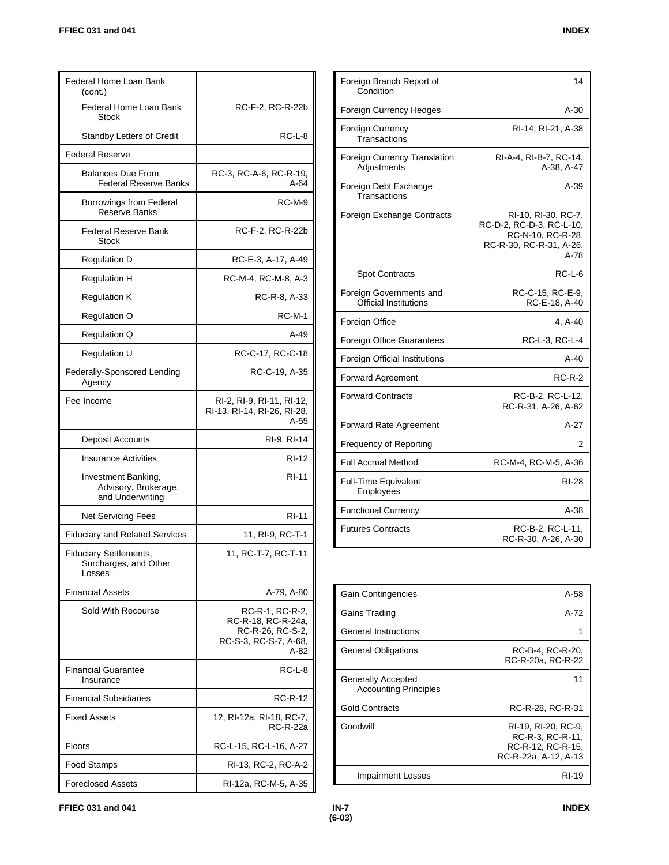| Federal Home Loan Bank<br>(cont.)                                |                                                                                            |
|------------------------------------------------------------------|--------------------------------------------------------------------------------------------|
| Federal Home Loan Bank<br><b>Stock</b>                           | RC-F-2, RC-R-22b                                                                           |
| <b>Standby Letters of Credit</b>                                 | RC-L-8                                                                                     |
| <b>Federal Reserve</b>                                           |                                                                                            |
| <b>Balances Due From</b><br><b>Federal Reserve Banks</b>         | RC-3, RC-A-6, RC-R-19,<br>A-64                                                             |
| Borrowings from Federal<br>Reserve Banks                         | $RC-M-9$                                                                                   |
| Federal Reserve Bank<br><b>Stock</b>                             | RC-F-2, RC-R-22b                                                                           |
| <b>Regulation D</b>                                              | RC-E-3, A-17, A-49                                                                         |
| <b>Regulation H</b>                                              | RC-M-4, RC-M-8, A-3                                                                        |
| <b>Regulation K</b>                                              | RC-R-8, A-33                                                                               |
| Regulation O                                                     | <b>RC-M-1</b>                                                                              |
| Regulation Q                                                     | A-49                                                                                       |
| Regulation U                                                     | RC-C-17, RC-C-18                                                                           |
| Federally-Sponsored Lending<br>Agency                            | RC-C-19, A-35                                                                              |
| Fee Income                                                       | RI-2, RI-9, RI-11, RI-12,<br>RI-13, RI-14, RI-26, RI-28,<br>A-55                           |
| Deposit Accounts                                                 | RI-9, RI-14                                                                                |
| <b>Insurance Activities</b>                                      | RI-12                                                                                      |
| Investment Banking,<br>Advisory, Brokerage,<br>and Underwriting  | RI-11                                                                                      |
| <b>Net Servicing Fees</b>                                        | <b>RI-11</b>                                                                               |
| <b>Fiduciary and Related Services</b>                            | 11, RI-9, RC-T-1                                                                           |
| <b>Fiduciary Settlements,</b><br>Surcharges, and Other<br>Losses | 11, RC-T-7, RC-T-11                                                                        |
| <b>Financial Assets</b>                                          | A-79. A-80                                                                                 |
| Sold With Recourse                                               | RC-R-1, RC-R-2,<br>RC-R-18, RC-R-24a,<br>RC-R-26, RC-S-2,<br>RC-S-3, RC-S-7, A-68,<br>A-82 |
| <b>Financial Guarantee</b><br>Insurance                          | $RC-L-8$                                                                                   |
| <b>Financial Subsidiaries</b>                                    | <b>RC-R-12</b>                                                                             |
| <b>Fixed Assets</b>                                              | 12, RI-12a, RI-18, RC-7,<br>RC-R-22a                                                       |
| <b>Floors</b>                                                    | RC-L-15, RC-L-16, A-27                                                                     |
|                                                                  |                                                                                            |
| Food Stamps                                                      | RI-13, RC-2, RC-A-2                                                                        |

| Foreign Branch Report of<br>Condition              | 14                                                                                                      |
|----------------------------------------------------|---------------------------------------------------------------------------------------------------------|
| Foreign Currency Hedges                            | A-30                                                                                                    |
| Foreign Currency<br>Transactions                   | RI-14, RI-21, A-38                                                                                      |
| <b>Foreign Currency Translation</b><br>Adjustments | RI-A-4, RI-B-7, RC-14,<br>A-38, A-47                                                                    |
| Foreign Debt Exchange<br>Transactions              | $A-39$                                                                                                  |
| Foreign Exchange Contracts                         | RI-10, RI-30, RC-7,<br>RC-D-2, RC-D-3, RC-L-10,<br>RC-N-10, RC-R-28,<br>RC-R-30, RC-R-31, A-26,<br>A-78 |
| <b>Spot Contracts</b>                              | RC-L-6                                                                                                  |
| Foreign Governments and<br>Official Institutions   | RC-C-15, RC-E-9,<br>RC-E-18, A-40                                                                       |
| Foreign Office                                     | 4, A-40                                                                                                 |
| <b>Foreign Office Guarantees</b>                   | RC-L-3, RC-L-4                                                                                          |
| Foreign Official Institutions                      | $A-40$                                                                                                  |
| Forward Agreement                                  | $RC-R-2$                                                                                                |
| <b>Forward Contracts</b>                           | RC-B-2, RC-L-12,<br>RC-R-31, A-26, A-62                                                                 |
| <b>Forward Rate Agreement</b>                      | $A-27$                                                                                                  |
| Frequency of Reporting                             | 2                                                                                                       |
| <b>Full Accrual Method</b>                         | RC-M-4, RC-M-5, A-36                                                                                    |
| <b>Full-Time Equivalent</b><br>Employees           | <b>RI-28</b>                                                                                            |
| <b>Functional Currency</b>                         | $A-38$                                                                                                  |
| <b>Futures Contracts</b>                           | RC-B-2, RC-L-11,<br>RC-R-30, A-26, A-30                                                                 |

| Gain Contingencies                                        | $A-58$                                                                               |
|-----------------------------------------------------------|--------------------------------------------------------------------------------------|
| Gains Trading                                             | $A-72$                                                                               |
| General Instructions                                      |                                                                                      |
| General Obligations                                       | RC-B-4. RC-R-20.<br>RC-R-20a, RC-R-22                                                |
| <b>Generally Accepted</b><br><b>Accounting Principles</b> | 11                                                                                   |
| <b>Gold Contracts</b>                                     | RC-R-28, RC-R-31                                                                     |
| Goodwill                                                  | RI-19, RI-20, RC-9,<br>RC-R-3, RC-R-11.<br>RC-R-12, RC-R-15.<br>RC-R-22a, A-12, A-13 |
| <b>Impairment Losses</b>                                  | RI-19                                                                                |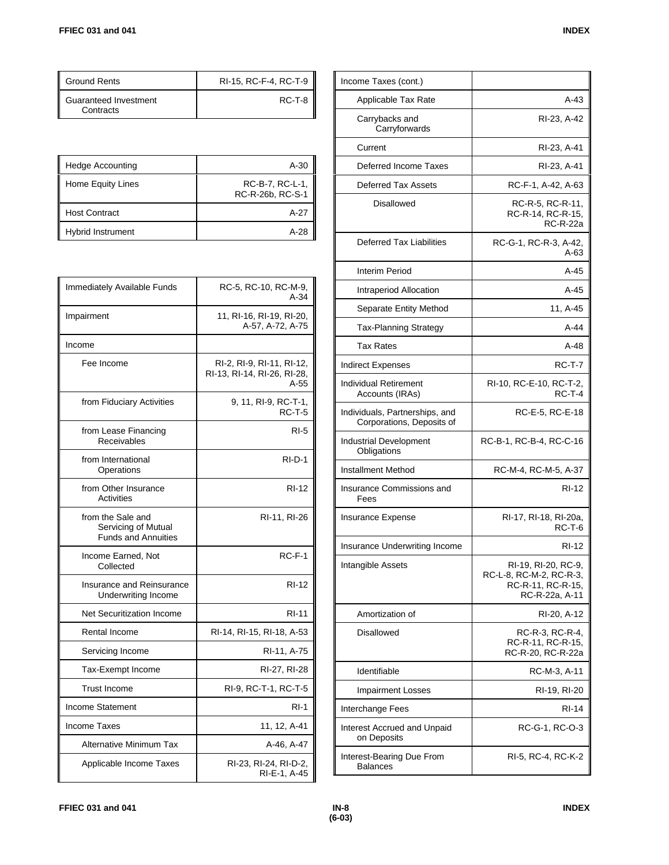| <b>Ground Rents</b>                | RI-15, RC-F-4, RC-T-9 |
|------------------------------------|-----------------------|
| Guaranteed Investment<br>Contracts | RC-T-8                |

| Hedge Accounting     | A-30                                |
|----------------------|-------------------------------------|
| Home Equity Lines    | RC-B-7, RC-L-1,<br>RC-R-26b, RC-S-1 |
| <b>Host Contract</b> | A-27                                |
| Hybrid Instrument    | A-28                                |

| Immediately Available Funds                                            | RC-5, RC-10, RC-M-9,<br>$A-34$                                   |
|------------------------------------------------------------------------|------------------------------------------------------------------|
| Impairment                                                             | 11, RI-16, RI-19, RI-20,<br>A-57, A-72, A-75                     |
| Income                                                                 |                                                                  |
| Fee Income                                                             | RI-2, RI-9, RI-11, RI-12,<br>RI-13, RI-14, RI-26, RI-28,<br>A-55 |
| from Fiduciary Activities                                              | 9, 11, RI-9, RC-T-1,<br><b>RC-T-5</b>                            |
| from Lease Financing<br>Receivables                                    | $RI-5$                                                           |
| from International<br>Operations                                       | $RI-D-1$                                                         |
| from Other Insurance<br><b>Activities</b>                              | RI-12                                                            |
| from the Sale and<br>Servicing of Mutual<br><b>Funds and Annuities</b> | RI-11, RI-26                                                     |
| Income Earned, Not<br>Collected                                        | RC-F-1                                                           |
| Insurance and Reinsurance<br>Underwriting Income                       | <b>RI-12</b>                                                     |
| Net Securitization Income                                              | <b>RI-11</b>                                                     |
| <b>Rental Income</b>                                                   | RI-14, RI-15, RI-18, A-53                                        |
| Servicing Income                                                       | RI-11, A-75                                                      |
| Tax-Exempt Income                                                      | RI-27, RI-28                                                     |
| <b>Trust Income</b>                                                    | RI-9, RC-T-1, RC-T-5                                             |
| Income Statement                                                       | RI-1                                                             |
| <b>Income Taxes</b>                                                    | 11, 12, A-41                                                     |
| Alternative Minimum Tax                                                | A-46, A-47                                                       |
| Applicable Income Taxes                                                | RI-23, RI-24, RI-D-2,<br>RI-E-1, A-45                            |

| Income Taxes (cont.)                                        |                                                                                       |
|-------------------------------------------------------------|---------------------------------------------------------------------------------------|
| Applicable Tax Rate                                         | A-43                                                                                  |
| Carrybacks and<br>Carryforwards                             | RI-23, A-42                                                                           |
| Current                                                     | RI-23, A-41                                                                           |
| Deferred Income Taxes                                       | RI-23, A-41                                                                           |
| <b>Deferred Tax Assets</b>                                  | RC-F-1, A-42, A-63                                                                    |
| <b>Disallowed</b>                                           | RC-R-5, RC-R-11,<br>RC-R-14, RC-R-15,<br><b>RC-R-22a</b>                              |
| <b>Deferred Tax Liabilities</b>                             | RC-G-1, RC-R-3, A-42,<br>A-63                                                         |
| Interim Period                                              | A-45                                                                                  |
| Intraperiod Allocation                                      | A-45                                                                                  |
| Separate Entity Method                                      | 11, A-45                                                                              |
| <b>Tax-Planning Strategy</b>                                | $A-44$                                                                                |
| <b>Tax Rates</b>                                            | A-48                                                                                  |
| <b>Indirect Expenses</b>                                    | <b>RC-T-7</b>                                                                         |
| <b>Individual Retirement</b><br>Accounts (IRAs)             | RI-10, RC-E-10, RC-T-2,<br>$RC-T-4$                                                   |
| Individuals, Partnerships, and<br>Corporations, Deposits of | RC-E-5, RC-E-18                                                                       |
| Industrial Development<br>Obligations                       | RC-B-1, RC-B-4, RC-C-16                                                               |
| <b>Installment Method</b>                                   | RC-M-4, RC-M-5, A-37                                                                  |
| Insurance Commissions and<br>Fees                           | RI-12                                                                                 |
| Insurance Expense                                           | RI-17, RI-18, RI-20a,<br>RC-T-6                                                       |
| Insurance Underwriting Income                               | <b>RI-12</b>                                                                          |
| Intangible Assets                                           | RI-19, RI-20, RC-9,<br>RC-L-8, RC-M-2, RC-R-3,<br>RC-R-11, RC-R-15,<br>RC-R-22a, A-11 |
| Amortization of                                             | RI-20, A-12                                                                           |
| Disallowed                                                  | RC-R-3, RC-R-4,<br>RC-R-11, RC-R-15,<br>RC-R-20, RC-R-22a                             |
| Identifiable                                                | RC-M-3, A-11                                                                          |
| <b>Impairment Losses</b>                                    | RI-19, RI-20                                                                          |
| Interchange Fees                                            | RI-14                                                                                 |
| Interest Accrued and Unpaid<br>on Deposits                  | RC-G-1, RC-O-3                                                                        |
| Interest-Bearing Due From<br><b>Balances</b>                | RI-5, RC-4, RC-K-2                                                                    |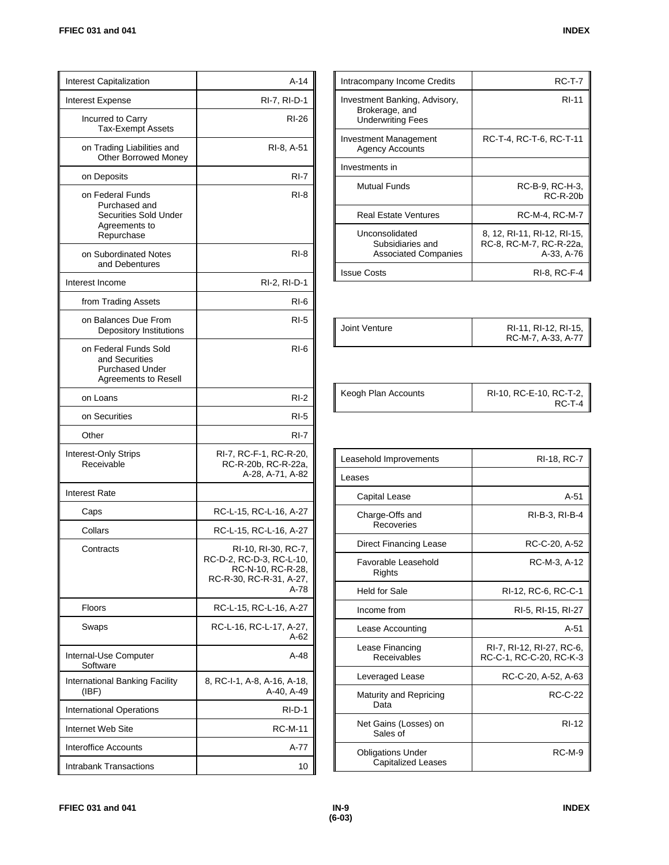| <b>Interest Capitalization</b>                                                                   | $A-14$                                                                                                  |
|--------------------------------------------------------------------------------------------------|---------------------------------------------------------------------------------------------------------|
| Interest Expense                                                                                 | RI-7, RI-D-1                                                                                            |
| Incurred to Carry<br><b>Tax-Exempt Assets</b>                                                    | RI-26                                                                                                   |
| on Trading Liabilities and<br><b>Other Borrowed Money</b>                                        | RI-8, A-51                                                                                              |
| on Deposits                                                                                      | $RI-7$                                                                                                  |
| on Federal Funds<br>Purchased and<br><b>Securities Sold Under</b><br>Agreements to<br>Repurchase | RI-8                                                                                                    |
| on Subordinated Notes<br>and Debentures                                                          | RI-8                                                                                                    |
| Interest Income                                                                                  | RI-2, RI-D-1                                                                                            |
| from Trading Assets                                                                              | RI-6                                                                                                    |
| on Balances Due From<br>Depository Institutions                                                  | $RI-5$                                                                                                  |
| on Federal Funds Sold<br>and Securities<br>Purchased Under<br>Agreements to Resell               | RI-6                                                                                                    |
| on Loans                                                                                         | $RI-2$                                                                                                  |
| on Securities                                                                                    | $RI-5$                                                                                                  |
| Other                                                                                            | RI-7                                                                                                    |
| Interest-Only Strips<br>Receivable                                                               | RI-7, RC-F-1, RC-R-20,<br>RC-R-20b, RC-R-22a,<br>A-28, A-71, A-82                                       |
| <b>Interest Rate</b>                                                                             |                                                                                                         |
| Caps                                                                                             | RC-L-15, RC-L-16, A-27                                                                                  |
| Collars                                                                                          | RC-L-15, RC-L-16, A-27                                                                                  |
| Contracts                                                                                        | RI-10, RI-30, RC-7,<br>RC-D-2, RC-D-3, RC-L-10,<br>RC-N-10, RC-R-28,<br>RC-R-30, RC-R-31, A-27,<br>A-78 |
| Floors                                                                                           | RC-L-15, RC-L-16, A-27                                                                                  |
| Swaps                                                                                            | RC-L-16, RC-L-17, A-27,<br>A-62                                                                         |
| Internal-Use Computer<br>Software                                                                | A-48                                                                                                    |
| International Banking Facility<br>(IBF)                                                          | 8, RC-I-1, A-8, A-16, A-18,<br>A-40, A-49                                                               |
| <b>International Operations</b>                                                                  | RI-D-1                                                                                                  |
| Internet Web Site                                                                                | RC-M-11                                                                                                 |
| Interoffice Accounts                                                                             | A-77                                                                                                    |
| Intrabank Transactions                                                                           | 10                                                                                                      |

| Intracompany Income Credits                                                 | <b>RC-T-7</b>                                                        |
|-----------------------------------------------------------------------------|----------------------------------------------------------------------|
| Investment Banking, Advisory,<br>Brokerage, and<br><b>Underwriting Fees</b> | <b>RI-11</b>                                                         |
| Investment Management<br><b>Agency Accounts</b>                             | RC-T-4, RC-T-6, RC-T-11                                              |
| Investments in                                                              |                                                                      |
| Mutual Funds                                                                | RC-B-9, RC-H-3,<br><b>RC-R-20b</b>                                   |
| <b>Real Estate Ventures</b>                                                 | RC-M-4, RC-M-7                                                       |
| Unconsolidated<br>Subsidiaries and<br><b>Associated Companies</b>           | 8, 12, RI-11, RI-12, RI-15,<br>RC-8, RC-M-7, RC-R-22a,<br>A-33, A-76 |
| <b>Issue Costs</b>                                                          | RI-8. RC-F-4                                                         |

| Joint Venture | RI-11, RI-12, RI-15,<br>RC-M-7, A-33, A-77 |
|---------------|--------------------------------------------|

| Keogh Plan Accounts | RI-10, RC-E-10, RC-T-2,<br>RC-T-4 |
|---------------------|-----------------------------------|
|---------------------|-----------------------------------|

| Leasehold Improvements                                | RI-18, RC-7                                          |
|-------------------------------------------------------|------------------------------------------------------|
| Leases                                                |                                                      |
| Capital Lease                                         | $A-51$                                               |
| Charge-Offs and<br>Recoveries                         | RI-B-3, RI-B-4                                       |
| <b>Direct Financing Lease</b>                         | RC-C-20, A-52                                        |
| Favorable Leasehold<br>Rights                         | RC-M-3, A-12                                         |
| Held for Sale                                         | RI-12, RC-6, RC-C-1                                  |
| Income from                                           | RI-5, RI-15, RI-27                                   |
| Lease Accounting                                      | $A-51$                                               |
| Lease Financing<br>Receivables                        | RI-7, RI-12, RI-27, RC-6,<br>RC-C-1, RC-C-20, RC-K-3 |
| Leveraged Lease                                       | RC-C-20, A-52, A-63                                  |
| Maturity and Repricing<br>Data                        | <b>RC-C-22</b>                                       |
| Net Gains (Losses) on<br>Sales of                     | RI-12                                                |
| <b>Obligations Under</b><br><b>Capitalized Leases</b> | <b>RC-M-9</b>                                        |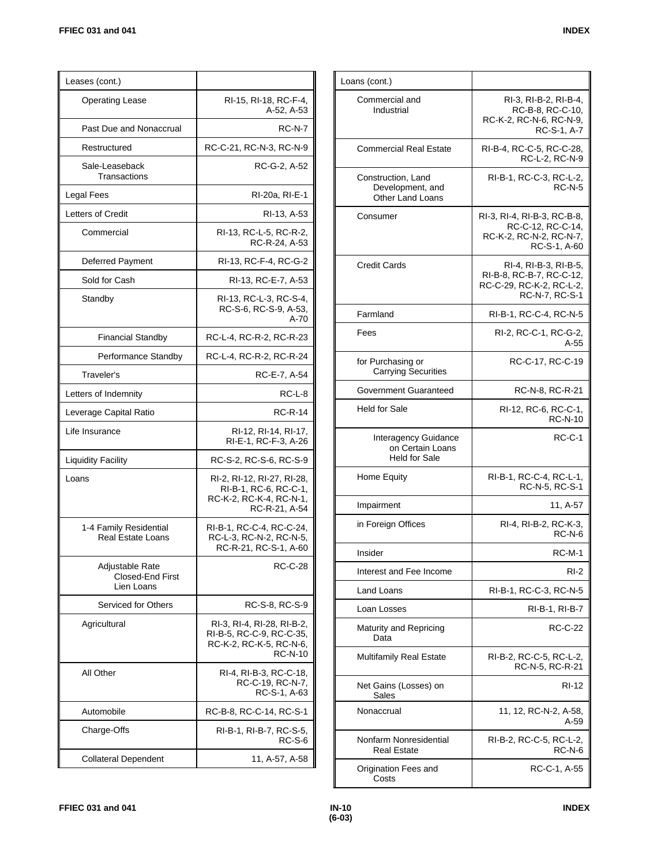| Leases (cont.)                                     |                                                                                                     |
|----------------------------------------------------|-----------------------------------------------------------------------------------------------------|
| <b>Operating Lease</b>                             | RI-15, RI-18, RC-F-4,<br>A-52, A-53                                                                 |
| Past Due and Nonaccrual                            | <b>RC-N-7</b>                                                                                       |
| Restructured                                       | RC-C-21, RC-N-3, RC-N-9                                                                             |
| Sale-Leaseback<br>Transactions                     | RC-G-2, A-52                                                                                        |
| Legal Fees                                         | RI-20a, RI-E-1                                                                                      |
| Letters of Credit                                  | RI-13, A-53                                                                                         |
| Commercial                                         | RI-13, RC-L-5, RC-R-2,<br>RC-R-24, A-53                                                             |
| Deferred Payment                                   | RI-13, RC-F-4, RC-G-2                                                                               |
| Sold for Cash                                      | RI-13, RC-E-7, A-53                                                                                 |
| Standby                                            | RI-13, RC-L-3, RC-S-4,<br>RC-S-6, RC-S-9, A-53,<br>A-70                                             |
| <b>Financial Standby</b>                           | RC-L-4, RC-R-2, RC-R-23                                                                             |
| Performance Standby                                | RC-L-4, RC-R-2, RC-R-24                                                                             |
| Traveler's                                         | RC-E-7, A-54                                                                                        |
| Letters of Indemnity                               | RC-L-8                                                                                              |
| Leverage Capital Ratio                             | RC-R-14                                                                                             |
| Life Insurance                                     | RI-12, RI-14, RI-17,<br>RI-E-1, RC-F-3, A-26                                                        |
| <b>Liquidity Facility</b>                          | RC-S-2, RC-S-6, RC-S-9                                                                              |
| Loans                                              | RI-2, RI-12, RI-27, RI-28,<br>RI-B-1, RC-6, RC-C-1,<br>RC-K-2, RC-K-4, RC-N-1,<br>RC-R-21, A-54     |
| 1-4 Family Residential<br><b>Real Estate Loans</b> | RI-B-1, RC-C-4, RC-C-24,<br>RC-L-3, RC-N-2, RC-N-5,<br>RC-R-21, RC-S-1, A-60                        |
| Adjustable Rate<br>Closed-End First<br>Lien Loans  | RC-C-28                                                                                             |
| Serviced for Others                                | RC-S-8, RC-S-9                                                                                      |
| Agricultural                                       | RI-3, RI-4, RI-28, RI-B-2,<br>RI-B-5, RC-C-9, RC-C-35,<br>RC-K-2, RC-K-5, RC-N-6,<br><b>RC-N-10</b> |
| All Other                                          | RI-4, RI-B-3, RC-C-18,<br>RC-C-19, RC-N-7,<br>RC-S-1, A-63                                          |
| Automobile                                         | RC-B-8, RC-C-14, RC-S-1                                                                             |
| Charge-Offs                                        | RI-B-1, RI-B-7, RC-S-5,<br>RC-S-6                                                                   |
| <b>Collateral Dependent</b>                        | 11, A-57, A-58                                                                                      |

| RI-3, RI-B-2, RI-B-4,<br>RC-B-8, RC-C-10,<br>RC-K-2, RC-N-6, RC-N-9,<br>RC-S-1, A-7             |
|-------------------------------------------------------------------------------------------------|
| RI-B-4, RC-C-5, RC-C-28,<br>RC-L-2, RC-N-9                                                      |
| RI-B-1, RC-C-3, RC-L-2,<br><b>RC-N-5</b>                                                        |
| RI 3, RI 4, RI B 3, RC B 8,<br>RC-C-12, RC-C-14,<br>RC-K-2, RC-N-2, RC-N-7,<br>RC-S-1, A-60     |
| RI-4, RI-B-3, RI-B-5,<br>RI-B-8, RC-B-7, RC-C-12,<br>RC-C-29, RC-K-2, RC-L-2,<br>RC-N-7, RC-S-1 |
| RI-B-1, RC-C-4, RC-N-5                                                                          |
| RI-2, RC-C-1, RC-G-2,<br>A-55                                                                   |
| RC-C-17, RC-C-19                                                                                |
| RC-N-8, RC-R-21                                                                                 |
| RI-12, RC-6, RC-C-1,<br><b>RC-N-10</b>                                                          |
| RC-C-1                                                                                          |
| RI-B-1, RC-C-4, RC-L-1,<br>RC-N-5, RC-S-1                                                       |
| 11, A-57                                                                                        |
| RI-4, RI-B-2, RC-K-3,<br><b>RC-N-6</b>                                                          |
| $RC-M-1$                                                                                        |
| RI-2                                                                                            |
| RI-B-1, RC-C-3, RC-N-5                                                                          |
| RI-B-1, RI-B-7                                                                                  |
| RC-C-22                                                                                         |
| RI-B-2, RC-C-5, RC-L-2,<br>RC-N-5, RC-R-21                                                      |
| RI-12                                                                                           |
| 11, 12, RC-N-2, A-58,<br>A-59                                                                   |
| RI-B-2, RC-C-5, RC-L-2,<br>$RC-N-6$                                                             |
| RC-C-1, A-55                                                                                    |
|                                                                                                 |

 $\mathbf{u}$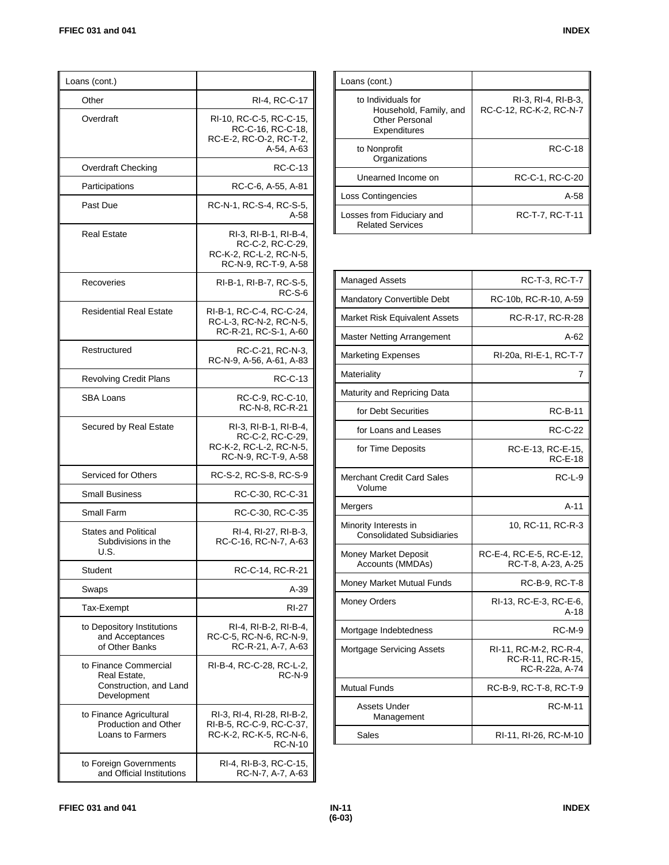| Loans (cont.)                                                                  |                                                                                                     |
|--------------------------------------------------------------------------------|-----------------------------------------------------------------------------------------------------|
| Other                                                                          | RI-4, RC-C-17                                                                                       |
| Overdraft                                                                      | RI-10, RC-C-5, RC-C-15,<br>RC-C-16, RC-C-18,<br>RC-E-2, RC-O-2, RC-T-2,<br>A-54, A-63               |
| Overdraft Checking                                                             | RC-C-13                                                                                             |
| Participations                                                                 | RC-C-6, A-55, A-81                                                                                  |
| Past Due                                                                       | RC-N-1, RC-S-4, RC-S-5,<br>A-58                                                                     |
| <b>Real Estate</b>                                                             | RI-3, RI-B-1, RI-B-4,<br>RC-C-2, RC-C-29,<br>RC-K-2, RC-L-2, RC-N-5,<br>RC-N-9, RC-T-9, A-58        |
| Recoveries                                                                     | RI-B-1, RI-B-7, RC-S-5,<br><b>RC-S-6</b>                                                            |
| <b>Residential Real Estate</b>                                                 | RI-B-1, RC-C-4, RC-C-24,<br>RC-L-3, RC-N-2, RC-N-5,<br>RC-R-21, RC-S-1, A-60                        |
| Restructured                                                                   | RC-C-21, RC-N-3,<br>RC-N-9, A-56, A-61, A-83                                                        |
| <b>Revolving Credit Plans</b>                                                  | RC-C-13                                                                                             |
| SBA Loans                                                                      | RC-C-9, RC-C-10,<br>RC-N-8, RC-R-21                                                                 |
| Secured by Real Estate                                                         | RI-3, RI-B-1, RI-B-4,<br>RC-C-2, RC-C-29,<br>RC-K-2, RC-L-2, RC-N-5,<br>RC-N-9, RC-T-9, A-58        |
| Serviced for Others                                                            | RC-S-2, RC-S-8, RC-S-9                                                                              |
| <b>Small Business</b>                                                          | RC-C-30, RC-C-31                                                                                    |
| Small Farm                                                                     | RC-C-30, RC-C-35                                                                                    |
| <b>States and Political</b><br>Subdivisions in the<br>U.S.                     | RI-4, RI-27, RI-B-3,<br>RC-C-16, RC-N-7, A-63                                                       |
| Student                                                                        | RC-C-14, RC-R-21                                                                                    |
| Swaps                                                                          | A-39                                                                                                |
| Tax-Exempt                                                                     | RI-27                                                                                               |
| to Depository Institutions<br>and Acceptances<br>of Other Banks                | RI-4, RI-B-2, RI-B-4,<br>RC-C-5, RC-N-6, RC-N-9,<br>RC-R-21, A-7, A-63                              |
| to Finance Commercial<br>Real Estate,<br>Construction, and Land<br>Development | RI-B-4, RC-C-28, RC-L-2,<br><b>RC-N-9</b>                                                           |
| to Finance Agricultural<br>Production and Other<br>Loans to Farmers            | RI-3, RI-4, RI-28, RI-B-2,<br>RI-B-5, RC-C-9, RC-C-37,<br>RC-K-2, RC-K-5, RC-N-6,<br><b>RC-N-10</b> |
| to Foreign Governments<br>and Official Institutions                            | RI-4, RI-B-3, RC-C-15,<br>RC-N-7, A-7, A-63                                                         |

| ישוו |
|------|
|      |
|      |

| Loans (cont.)                                                                  |                                                |
|--------------------------------------------------------------------------------|------------------------------------------------|
| to Individuals for<br>Household, Family, and<br>Other Personal<br>Expenditures | RI-3, RI-4, RI-B-3,<br>RC-C-12, RC-K-2, RC-N-7 |
| to Nonprofit<br>Organizations                                                  | <b>RC-C-18</b>                                 |
| Unearned Income on                                                             | RC-C-1, RC-C-20                                |
| <b>Loss Contingencies</b>                                                      | $A-58$                                         |
| Losses from Fiduciary and<br><b>Related Services</b>                           | RC-T-7, RC-T-11                                |

| <b>Managed Assets</b>                                     | RC-T-3, RC-T-7                                                |
|-----------------------------------------------------------|---------------------------------------------------------------|
| Mandatory Convertible Debt                                | RC-10b, RC-R-10, A-59                                         |
| Market Risk Equivalent Assets                             | RC-R-17, RC-R-28                                              |
| <b>Master Netting Arrangement</b>                         | A-62                                                          |
| <b>Marketing Expenses</b>                                 | RI-20a, RI-E-1, RC-T-7                                        |
| Materiality                                               | 7                                                             |
| Maturity and Repricing Data                               |                                                               |
| for Debt Securities                                       | <b>RC-B-11</b>                                                |
| for Loans and Leases                                      | RC-C-22                                                       |
| for Time Deposits                                         | RC-E-13, RC-E-15,<br><b>RC-E-18</b>                           |
| <b>Merchant Credit Card Sales</b><br>Volume               | $RC-L-9$                                                      |
| Mergers                                                   | $A-11$                                                        |
| Minority Interests in<br><b>Consolidated Subsidiaries</b> | 10, RC-11, RC-R-3                                             |
| Money Market Deposit<br>Accounts (MMDAs)                  | RC-E-4, RC-E-5, RC-E-12,<br>RC-T-8, A-23, A-25                |
| Money Market Mutual Funds                                 | RC-B-9, RC-T-8                                                |
| <b>Money Orders</b>                                       | RI-13, RC-E-3, RC-E-6,<br>$A-18$                              |
| Mortgage Indebtedness                                     | <b>RC-M-9</b>                                                 |
| <b>Mortgage Servicing Assets</b>                          | RI-11, RC-M-2, RC-R-4,<br>RC-R-11, RC-R-15,<br>RC-R-22a, A-74 |
| <b>Mutual Funds</b>                                       | RC-B-9, RC-T-8, RC-T-9                                        |
| Assets Under<br>Management                                | <b>RC-M-11</b>                                                |
| Sales                                                     | RI-11, RI-26, RC-M-10                                         |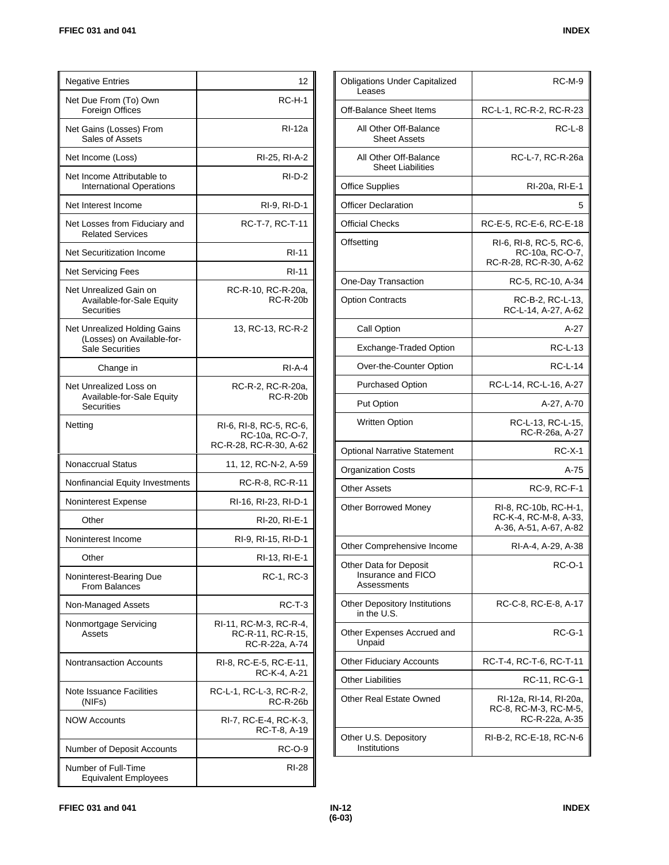| <b>Negative Entries</b>                                                              | 12                                                                   |
|--------------------------------------------------------------------------------------|----------------------------------------------------------------------|
| Net Due From (To) Own<br>Foreign Offices                                             | <b>RC-H-1</b>                                                        |
| Net Gains (Losses) From<br>Sales of Assets                                           | RI-12a                                                               |
| Net Income (Loss)                                                                    | RI-25, RI-A-2                                                        |
| Net Income Attributable to<br><b>International Operations</b>                        | $RI-D-2$                                                             |
| Net Interest Income                                                                  | RI-9, RI-D-1                                                         |
| Net Losses from Fiduciary and<br><b>Related Services</b>                             | RC-T-7, RC-T-11                                                      |
| Net Securitization Income                                                            | <b>RI-11</b>                                                         |
| <b>Net Servicing Fees</b>                                                            | RI-11                                                                |
| Net Unrealized Gain on<br>Available-for-Sale Equity<br><b>Securities</b>             | RC-R-10, RC-R-20a,<br><b>RC-R-20b</b>                                |
| Net Unrealized Holding Gains<br>(Losses) on Available-for-<br><b>Sale Securities</b> | 13, RC-13, RC-R-2                                                    |
| Change in                                                                            | $RI-A-4$                                                             |
| Net Unrealized Loss on<br>Available-for-Sale Equity<br>Securities                    | RC-R-2, RC-R-20a,<br><b>RC-R-20b</b>                                 |
| Netting                                                                              | RI-6, RI-8, RC-5, RC-6,<br>RC-10a, RC-O-7,<br>RC-R-28, RC-R-30, A-62 |
| Nonaccrual Status                                                                    | 11, 12, RC-N-2, A-59                                                 |
| Nonfinancial Equity Investments                                                      | RC-R-8, RC-R-11                                                      |
| Noninterest Expense                                                                  | RI-16, RI-23, RI-D-1                                                 |
| Other                                                                                | RI-20, RI-E-1                                                        |
| Noninterest Income                                                                   | RI-9, RI-15, RI-D-1                                                  |
| Other                                                                                | RI-13, RI-E-1                                                        |
| Noninterest-Bearing Due<br><b>From Balances</b>                                      | RC-1, RC-3                                                           |
| Non-Managed Assets                                                                   | RC-T-3                                                               |
| Nonmortgage Servicing<br>Assets                                                      | RI-11, RC-M-3, RC-R-4,<br>RC-R-11, RC-R-15,<br>RC-R-22a, A-74        |
| <b>Nontransaction Accounts</b>                                                       | RI-8, RC-E-5, RC-E-11,<br>RC-K-4, A-21                               |
| Note Issuance Facilities<br>(NIFs)                                                   | RC-L-1, RC-L-3, RC-R-2,<br><b>RC-R-26b</b>                           |
| <b>NOW Accounts</b>                                                                  | RI-7, RC-E-4, RC-K-3,<br>RC-T-8, A-19                                |
| Number of Deposit Accounts                                                           | RC-O-9                                                               |
| Number of Full-Time<br><b>Equivalent Employees</b>                                   | RI-28                                                                |

| <b>Obligations Under Capitalized</b><br>Leases              | RC-M-9                                                                   |
|-------------------------------------------------------------|--------------------------------------------------------------------------|
| Off-Balance Sheet Items                                     | RC-L-1, RC-R-2, RC-R-23                                                  |
| All Other Off-Balance<br><b>Sheet Assets</b>                | RC-L-8                                                                   |
| All Other Off-Balance<br><b>Sheet Liabilities</b>           | RC-L-7, RC-R-26a                                                         |
| <b>Office Supplies</b>                                      | RI-20a, RI-E-1                                                           |
| <b>Officer Declaration</b>                                  | 5                                                                        |
| <b>Official Checks</b>                                      | RC-E-5, RC-E-6, RC-E-18                                                  |
| Offsetting                                                  | RI-6, RI-8, RC-5, RC-6,<br>RC-10a, RC-O-7,<br>RC-R-28, RC-R-30, A-62     |
| One-Day Transaction                                         | RC-5, RC-10, A-34                                                        |
| <b>Option Contracts</b>                                     | RC-B-2, RC-L-13,<br>RC-L-14, A-27, A-62                                  |
| Call Option                                                 | A-27                                                                     |
| Exchange-Traded Option                                      | RC-L-13                                                                  |
| Over-the-Counter Option                                     | <b>RC-L-14</b>                                                           |
| <b>Purchased Option</b>                                     | RC-L-14, RC-L-16, A-27                                                   |
| <b>Put Option</b>                                           | A-27, A-70                                                               |
| <b>Written Option</b>                                       | RC-L-13, RC-L-15,<br>RC-R-26a, A-27                                      |
| <b>Optional Narrative Statement</b>                         | RC-X-1                                                                   |
| <b>Organization Costs</b>                                   | A-75                                                                     |
| <b>Other Assets</b>                                         | RC-9, RC-F-1                                                             |
| Other Borrowed Money                                        | RI-8, RC-10b, RC-H-1,<br>RC-K-4, RC-M-8, A-33,<br>A-36, A-51, A-67, A-82 |
| Other Comprehensive Income                                  | RI-A-4, A-29, A-38                                                       |
| Other Data for Deposit<br>Insurance and FICO<br>Assessments | RC-O-1                                                                   |
| Other Depository Institutions<br>in the U.S.                | RC-C-8, RC-E-8, A-17                                                     |
| Other Expenses Accrued and<br>Unpaid                        | $RC-G-1$                                                                 |
| <b>Other Fiduciary Accounts</b>                             | RC-T-4, RC-T-6, RC-T-11                                                  |
| <b>Other Liabilities</b>                                    | RC-11, RC-G-1                                                            |
| <b>Other Real Estate Owned</b>                              | RI-12a, RI-14, RI-20a,<br>RC-8, RC-M-3, RC-M-5,<br>RC-R-22a, A-35        |
| Other U.S. Depository<br>Institutions                       | RI-B-2, RC-E-18, RC-N-6                                                  |
|                                                             |                                                                          |

Т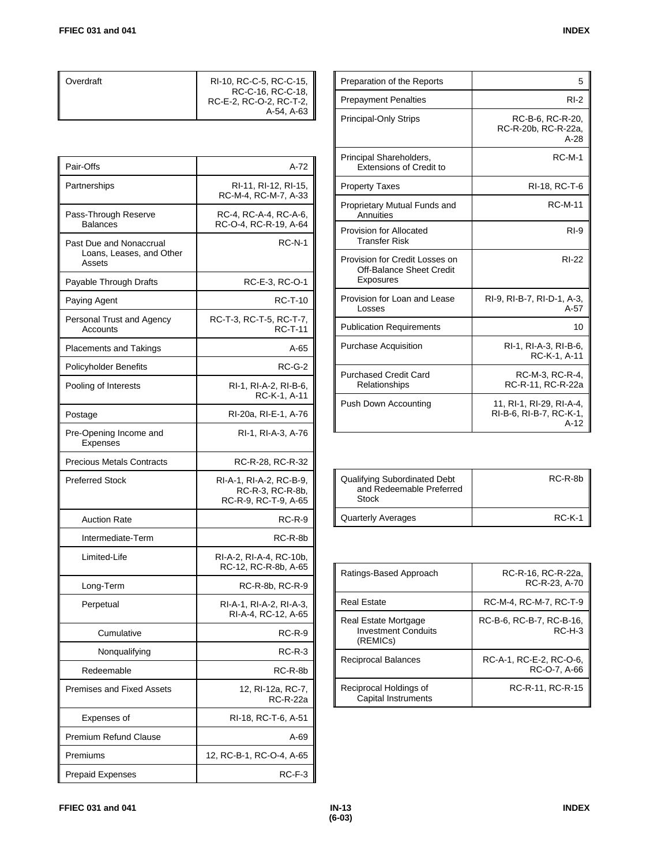| Overdraft | RI-10, RC-C-5, RC-C-15, I<br>RC-C-16, RC-C-18,<br>RC-E-2, RC-O-2, RC-T-2,<br>A-54, A-63 |
|-----------|-----------------------------------------------------------------------------------------|
|           |                                                                                         |

| Pair-Offs                                                     | A-72                                                                |
|---------------------------------------------------------------|---------------------------------------------------------------------|
| Partnerships                                                  | RI-11, RI-12, RI-15,<br>RC-M-4, RC-M-7, A-33                        |
| Pass-Through Reserve<br><b>Balances</b>                       | RC-4, RC-A-4, RC-A-6,<br>RC-O-4, RC-R-19, A-64                      |
| Past Due and Nonaccrual<br>Loans, Leases, and Other<br>Assets | $RC-N-1$                                                            |
| Payable Through Drafts                                        | RC-E-3, RC-O-1                                                      |
| Paying Agent                                                  | <b>RC-T-10</b>                                                      |
| Personal Trust and Agency<br>Accounts                         | RC T-3, RC T-5, RC T-7,<br><b>RC-T-11</b>                           |
| Placements and Takings                                        | A-65                                                                |
| Policyholder Benefits                                         | <b>RC-G-2</b>                                                       |
| Pooling of Interests                                          | RI-1, RI-A-2, RI-B-6,<br>RC-K-1, A-11                               |
| Postage                                                       | RI-20a, RI-E-1, A-76                                                |
| Pre-Opening Income and<br><b>Expenses</b>                     | RI-1, RI-A-3, A-76                                                  |
| <b>Precious Metals Contracts</b>                              | RC-R-28, RC-R-32                                                    |
| <b>Preferred Stock</b>                                        | RI-A-1, RI-A-2, RC-B-9,<br>RC-R-3, RC-R-8b,<br>RC-R-9, RC-T-9, A-65 |
| <b>Auction Rate</b>                                           | $RC-R-9$                                                            |
| Intermediate-Term                                             | RC-R-8b                                                             |
| Limited-Life                                                  | RI-A-2, RI-A-4, RC-10b,<br>RC-12, RC-R-8b, A-65                     |
| Long-Term                                                     | RC-R-8b, RC-R-9                                                     |
| Perpetual                                                     | RI-A-1, RI-A-2, RI-A-3,<br>RI-A-4, RC-12, A-65                      |
| Cumulative                                                    | $RC-R-9$                                                            |
| Nonqualifying                                                 | <b>RC-R-3</b>                                                       |
| Redeemable                                                    | RC-R-8b                                                             |
| <b>Premises and Fixed Assets</b>                              | 12, RI-12a, RC-7,<br>RC-R-22a                                       |
| Expenses of                                                   | RI-18, RC-T-6, A-51                                                 |
| <b>Premium Refund Clause</b>                                  | A-69                                                                |
| Premiums                                                      | 12, RC-B-1, RC-O-4, A-65                                            |
| <b>Prepaid Expenses</b>                                       | $RC-F-3$                                                            |

| Preparation of the Reports                                                     | 5                                                             |
|--------------------------------------------------------------------------------|---------------------------------------------------------------|
| <b>Prepayment Penalties</b>                                                    | $RI-2$                                                        |
| <b>Principal-Only Strips</b>                                                   | RC-B-6, RC-R-20,<br>RC-R-20b, RC-R-22a,<br>$A-28$             |
| Principal Shareholders,<br>Extensions of Credit to                             | RC-M-1                                                        |
| <b>Property Taxes</b>                                                          | RI-18, RC-T-6                                                 |
| Proprietary Mutual Funds and<br>Annuities                                      | <b>RC-M-11</b>                                                |
| Provision for Allocated<br><b>Transfer Risk</b>                                | $R1-9$                                                        |
| Provision for Credit Losses on<br><b>Off-Balance Sheet Credit</b><br>Exposures | <b>RI-22</b>                                                  |
| Provision for Loan and Lease<br>Losses                                         | RI-9, RI-B-7, RI-D-1, A-3,<br>$A-57$                          |
| <b>Publication Requirements</b>                                                | 10                                                            |
| <b>Purchase Acquisition</b>                                                    | RI-1, RI-A-3, RI-B-6,<br>RC-K-1, A-11                         |
| <b>Purchased Credit Card</b><br>Relationships                                  | RC-M-3, RC-R-4,<br>RC-R-11, RC-R-22a                          |
| Push Down Accounting                                                           | 11, RI-1, RI-29, RI-A-4,<br>RI-B-6, RI-B-7, RC-K-1,<br>$A-12$ |

| Qualifying Subordinated Debt<br>and Redeemable Preferred<br>Stock | RC-R-8b  |
|-------------------------------------------------------------------|----------|
| <b>Quarterly Averages</b>                                         | $RC-K-1$ |

| Ratings-Based Approach                                         | RC-R-16, RC-R-22a,<br>RC-R-23, A-70     |
|----------------------------------------------------------------|-----------------------------------------|
| <b>Real Estate</b>                                             | RC-M-4, RC-M-7, RC-T-9                  |
| Real Estate Mortgage<br><b>Investment Conduits</b><br>(REMICs) | RC-B-6, RC-B-7, RC-B-16,<br>$RCH-3$     |
| Reciprocal Balances                                            | RC-A-1, RC-E-2, RC-O-6,<br>RC-O-7, A-66 |
| Reciprocal Holdings of<br>Capital Instruments                  | RC-R-11, RC-R-15                        |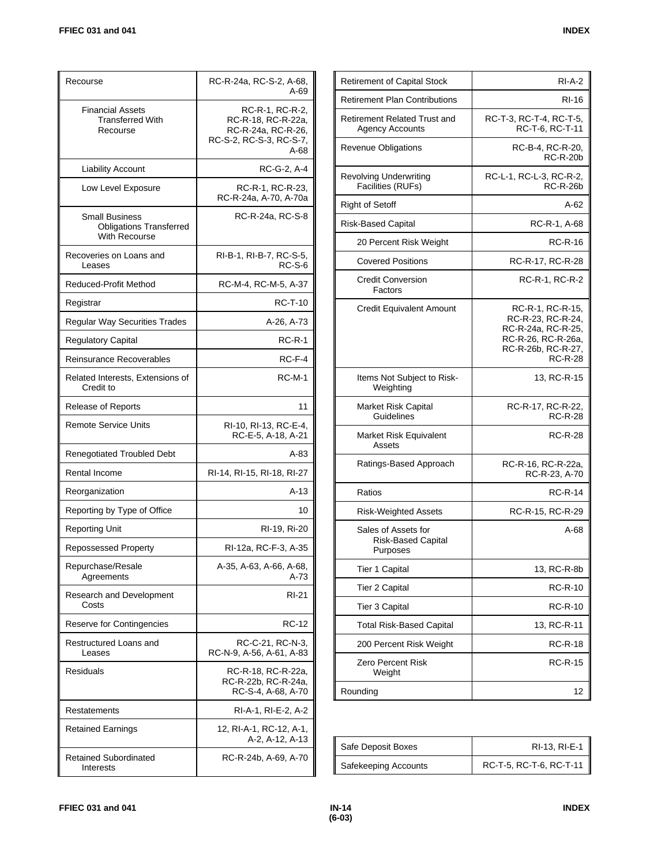| Recourse                                                                        | RC-R-24a, RC-S-2, A-68,<br>A-69                                                                |
|---------------------------------------------------------------------------------|------------------------------------------------------------------------------------------------|
| <b>Financial Assets</b><br><b>Transferred With</b><br>Recourse                  | RC-R-1, RC-R-2,<br>RC-R-18, RC-R-22a,<br>RC-R-24a, RC-R-26,<br>RC-S-2, RC-S-3, RC-S-7,<br>A-68 |
| <b>Liability Account</b>                                                        | RC-G-2, A-4                                                                                    |
| Low Level Exposure                                                              | RC-R-1, RC-R-23,<br>RC-R-24a, A-70, A-70a                                                      |
| <b>Small Business</b><br><b>Obligations Transferred</b><br><b>With Recourse</b> | RC R-24a, RC S-8                                                                               |
| Recoveries on Loans and<br>Leases                                               | RI-B-1, RI-B-7, RC-S-5,<br>$RC-S-6$                                                            |
| <b>Reduced-Profit Method</b>                                                    | RC-M-4, RC-M-5, A-37                                                                           |
| Registrar                                                                       | <b>RC-T-10</b>                                                                                 |
| <b>Regular Way Securities Trades</b>                                            | A-26, A-73                                                                                     |
| <b>Regulatory Capital</b>                                                       | <b>RC-R-1</b>                                                                                  |
| Reinsurance Recoverables                                                        | $RC-F-4$                                                                                       |
| Related Interests, Extensions of<br>Credit to                                   | <b>RC-M-1</b>                                                                                  |
| Release of Reports                                                              | 11                                                                                             |
| <b>Remote Service Units</b>                                                     | RI-10, RI-13, RC-E-4,<br>RC-E-5, A-18, A-21                                                    |
| <b>Renegotiated Troubled Debt</b>                                               | A-83                                                                                           |
| Rental Income                                                                   | RI-14, RI-15, RI-18, RI-27                                                                     |
| Reorganization                                                                  | A-13                                                                                           |
| Reporting by Type of Office                                                     | 10                                                                                             |
| <b>Reporting Unit</b>                                                           | RI-19, Ri-20                                                                                   |
| Repossessed Property                                                            | RI-12a, RC-F-3, A-35                                                                           |
| Repurchase/Resale<br>Agreements                                                 | A-35, A-63, A-66, A-68,<br>A-73                                                                |
| Research and Development<br>Costs                                               | RI-21                                                                                          |
| Reserve for Contingencies                                                       | RC-12                                                                                          |
| Restructured Loans and<br>Leases                                                | RC-C-21, RC-N-3,<br>RC-N-9, A-56, A-61, A-83                                                   |
| Residuals                                                                       | RC-R-18, RC-R-22a,<br>RC-R-22b, RC-R-24a,<br>RC-S-4, A-68, A-70                                |
| Restatements                                                                    | RI-A-1, RI-E-2, A-2                                                                            |
| Retained Earnings                                                               | 12, RI-A-1, RC-12, A-1,<br>A-2, A-12, A-13                                                     |
| <b>Retained Subordinated</b><br>Interests                                       | RC-R-24b, A-69, A-70                                                                           |

| <b>Retirement of Capital Stock</b>                     | $RI-A-2$                                                                                                                  |
|--------------------------------------------------------|---------------------------------------------------------------------------------------------------------------------------|
| <b>Retirement Plan Contributions</b>                   | RI-16                                                                                                                     |
| Retirement Related Trust and<br><b>Agency Accounts</b> | RC-T-3, RC-T-4, RC-T-5,<br>RC-T-6, RC-T-11                                                                                |
| <b>Revenue Obligations</b>                             | RC-B-4, RC-R-20,<br><b>RC-R-20b</b>                                                                                       |
| <b>Revolving Underwriting</b><br>Facilities (RUFs)     | RC-L-1, RC-L-3, RC-R-2,<br><b>RC-R-26b</b>                                                                                |
| <b>Right of Setoff</b>                                 | A-62                                                                                                                      |
| Risk-Based Capital                                     | RC-R-1, A-68                                                                                                              |
| 20 Percent Risk Weight                                 | <b>RC-R-16</b>                                                                                                            |
| <b>Covered Positions</b>                               | RC-R-17, RC-R-28                                                                                                          |
| <b>Credit Conversion</b><br>Factors                    | RC-R-1, RC-R-2                                                                                                            |
| <b>Credit Equivalent Amount</b>                        | RC-R-1, RC-R-15,<br>RC-R-23, RC-R-24,<br>RC-R-24a, RC-R-25,<br>RC-R-26, RC-R-26a,<br>RC-R-26b, RC-R-27,<br><b>RC-R-28</b> |
| Items Not Subject to Risk-<br>Weighting                | 13, RC-R-15                                                                                                               |
| Market Risk Capital<br>Guidelines                      | RC-R-17, RC-R-22,<br><b>RC-R-28</b>                                                                                       |
| Market Risk Equivalent<br>Assets                       | RC-R-28                                                                                                                   |
| Ratings-Based Approach                                 | RC-R-16, RC-R-22a,<br>RC-R-23, A-70                                                                                       |
| Ratios                                                 | <b>RC-R-14</b>                                                                                                            |
| <b>Risk-Weighted Assets</b>                            | RC-R-15, RC-R-29                                                                                                          |
| Sales of Assets for<br>Risk-Based Capital<br>Purposes  | A-68                                                                                                                      |
| Tier 1 Capital                                         | 13, RC-R-8b                                                                                                               |
| <b>Tier 2 Capital</b>                                  | <b>RC-R-10</b>                                                                                                            |
| Tier 3 Capital                                         | RC-R-10                                                                                                                   |
| <b>Total Risk-Based Capital</b>                        | 13, RC-R-11                                                                                                               |
| 200 Percent Risk Weight                                | <b>RC-R-18</b>                                                                                                            |
| Zero Percent Risk<br>Weight                            | <b>RC-R-15</b>                                                                                                            |
| Rounding                                               | 12                                                                                                                        |

| Safe Deposit Boxes   | RI-13, RI-E-1           |
|----------------------|-------------------------|
| Safekeeping Accounts | RC-T-5, RC-T-6, RC-T-11 |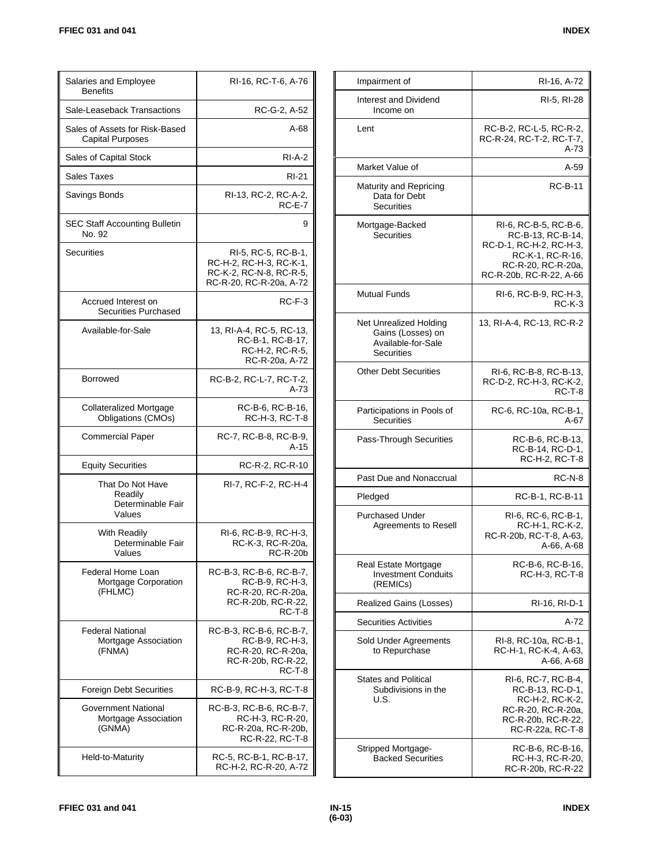| Salaries and Employee<br><b>Benefits</b>                   | RI-16, RC-T-6, A-76                                                                                  |
|------------------------------------------------------------|------------------------------------------------------------------------------------------------------|
| Sale-Leaseback Transactions                                | RC-G-2, A-52                                                                                         |
| Sales of Assets for Risk-Based<br>Capital Purposes         | A-68                                                                                                 |
| Sales of Capital Stock                                     | $RI-A-2$                                                                                             |
| Sales Taxes                                                | <b>RI-21</b>                                                                                         |
| Savings Bonds                                              | RI-13, RC-2, RC-A-2,<br><b>RC-E-7</b>                                                                |
| SEC Staff Accounting Bulletin<br>No. 92                    | 9                                                                                                    |
| Securities                                                 | RI-5, RC-5, RC-B-1,<br>RC-H-2, RC-H-3, RC-K-1,<br>RC-K-2, RC-N-8, RC-R-5,<br>RC-R-20, RC-R-20a, A-72 |
| Accrued Interest on<br><b>Securities Purchased</b>         | RC-F-3                                                                                               |
| Available-for-Sale                                         | 13, RI-A-4, RC-5, RC-13,<br>RC-B-1, RC-B-17,<br>RC-H-2, RC-R-5,<br>RC-R-20a, A-72                    |
| <b>Borrowed</b>                                            | RC-B-2, RC-L-7, RC-T-2,<br>A-73                                                                      |
| <b>Collateralized Mortgage</b><br>Obligations (CMOs)       | RC-B-6, RC-B-16,<br>RC-H-3, RC-T-8                                                                   |
| <b>Commercial Paper</b>                                    | RC-7, RC-B-8, RC-B-9,<br>$A-15$                                                                      |
| <b>Equity Securities</b>                                   | RC-R-2, RC-R-10                                                                                      |
| That Do Not Have<br>Readily<br>Determinable Fair<br>Values | RI-7, RC-F-2, RC-H-4                                                                                 |
| With Readily<br>Determinable Fair<br>Values                | RI-6, RC-B-9, RC-H-3,<br>RC-K-3, RC-R-20a,<br><b>RC-R-20b</b>                                        |
| Federal Home Loan<br>Mortgage Corporation<br>(FHLMC)       | RC-B-3, RC-B-6, RC-B-7,<br>RC-B-9, RC-H-3,<br>RC-R-20, RC-R-20a,<br>RC-R-20b, RC-R-22,<br>RC-T-8     |
| <b>Federal National</b><br>Mortgage Association<br>(FNMA)  | RC-B-3, RC-B-6, RC-B-7,<br>RC-B-9, RC-H-3,<br>RC-R-20, RC-R-20a,<br>RC-R-20b, RC-R-22,<br>RC-T-8     |
| <b>Foreign Debt Securities</b>                             | RC-B-9, RC-H-3, RC-T-8                                                                               |
| Government National<br>Mortgage Association<br>(GNMA)      | RC-B-3, RC-B-6, RC-B-7,<br>RC-H-3, RC-R-20,<br>RC-R-20a, RC-R-20b,<br>RC-R-22, RC-T-8                |
| Held-to-Maturity                                           | RC-5, RC-B-1, RC-B-17,<br>RC-H-2, RC-R-20, A-72                                                      |

| Impairment of                                                                   | RI-16, A-72                                                                                                                                |
|---------------------------------------------------------------------------------|--------------------------------------------------------------------------------------------------------------------------------------------|
| Interest and Dividend<br>Income on                                              | RI-5, RI-28                                                                                                                                |
| Lent                                                                            | RC-B-2, RC-L-5, RC-R-2,<br>RC-R-24, RC-T-2, RC-T-7,<br>A-73                                                                                |
| Market Value of                                                                 | A-59                                                                                                                                       |
| Maturity and Repricing<br>Data for Debt<br><b>Securities</b>                    | <b>RC-B-11</b>                                                                                                                             |
| Mortgage-Backed<br>Securities                                                   | RI-6, RC-B-5, RC-B-6,<br>RC-B-13, RC-B-14,<br>RC-D-1, RC-H-2, RC-H-3,<br>RC-K-1, RC-R-16,<br>RC-R-20, RC-R-20a,<br>RC-R-20b, RC-R-22, A-66 |
| Mutual Funds                                                                    | RI-6, RC-B-9, RC-H-3,<br>$RC-K-3$                                                                                                          |
| Net Unrealized Holding<br>Gains (Losses) on<br>Available-for-Sale<br>Securities | 13, RI-A-4, RC-13, RC-R-2                                                                                                                  |
| <b>Other Debt Securities</b>                                                    | RI-6, RC-B-8, RC-B-13,<br>RC-D-2, RC-H-3, RC-K-2,<br>RC-T-8                                                                                |
| Participations in Pools of<br>Securities                                        | RC-6, RC-10a, RC-B-1,<br>A-67                                                                                                              |
| Pass-Through Securities                                                         | RC-B-6, RC-B-13,<br>RC-B-14, RC-D-1,<br>RC-H-2, RC-T-8                                                                                     |
| Past Due and Nonaccrual                                                         | $RC-N-8$                                                                                                                                   |
| Pledged                                                                         | RC-B-1, RC-B-11                                                                                                                            |
| <b>Purchased Under</b><br>Agreements to Resell                                  | RI-6, RC-6, RC-B-1,<br>RC-H-1, RC-K-2,<br>RC-R-20b, RC-T-8, A-63,<br>A-66, A-68                                                            |
| Real Estate Mortgage<br><b>Investment Conduits</b><br>(REMICs)                  | RC-B-6, RC-B-16,<br>RC-H-3, RC-T-8                                                                                                         |
| Realized Gains (Losses)                                                         | RI-16, RI-D-1                                                                                                                              |
| <b>Securities Activities</b>                                                    | A-72                                                                                                                                       |
| Sold Under Agreements<br>to Repurchase                                          | RI-8, RC-10a, RC-B-1,<br>RC-H-1, RC-K-4, A-63,<br>A-66, A-68                                                                               |
| States and Political<br>Subdivisions in the<br>U.S.                             | RI-6, RC-7, RC-B-4,<br>RC-B-13, RC-D-1,<br>RC-H-2, RC-K-2,<br>RC-R-20, RC-R-20a,<br>RC-R-20b, RC-R-22,<br>RC-R-22a, RC-T-8                 |
| Stripped Mortgage-<br><b>Backed Securities</b>                                  | RC-B-6, RC-B-16,<br>RC-H-3, RC-R-20,<br>RC-R-20b, RC-R-22                                                                                  |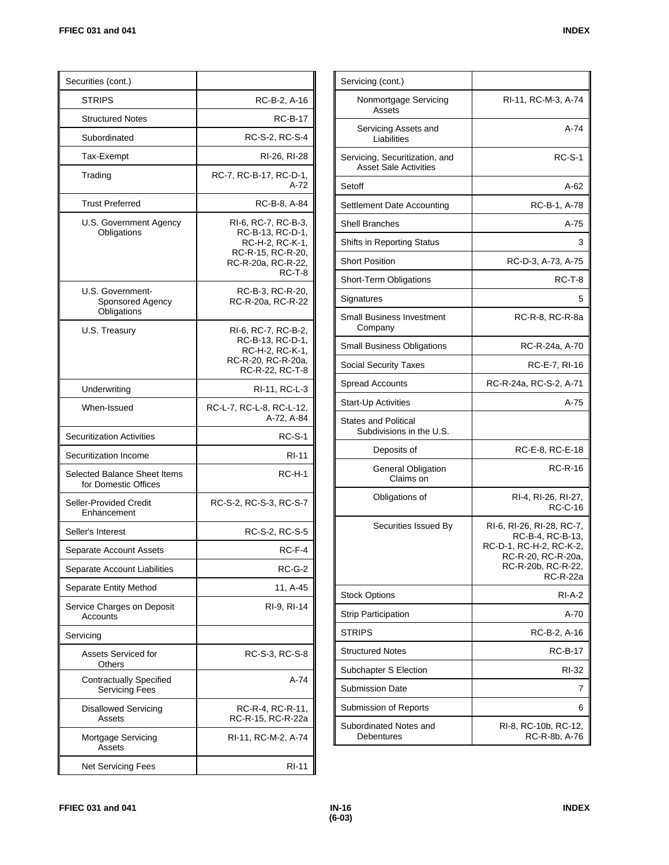| Securities (cont.)                                   |                                                                                                                 |
|------------------------------------------------------|-----------------------------------------------------------------------------------------------------------------|
| STRIPS                                               | RC-B-2, A-16                                                                                                    |
| <b>Structured Notes</b>                              | <b>RC-B-17</b>                                                                                                  |
| Subordinated                                         | RC-S-2, RC-S-4                                                                                                  |
| Tax-Exempt                                           | RI-26, RI-28                                                                                                    |
| Trading                                              | RC 7, RC B 17, RC D 1,<br>A-72                                                                                  |
| <b>Trust Preferred</b>                               | RC-B-8, A-84                                                                                                    |
| U.S. Government Agency<br>Obligations                | RI-6, RC-7, RC-B-3,<br>RC-B-13, RC-D-1,<br>RC-H-2, RC-K-1,<br>RC-R-15, RC-R-20,<br>RC-R-20a, RC-R-22,<br>RC-T-8 |
| U.S. Government-<br>Sponsored Agency<br>Obligations  | RC-B-3, RC-R-20,<br>RC-R-20a, RC-R-22                                                                           |
| U.S. Treasury                                        | RI-6, RC-7, RC-B-2,<br>RC-B-13, RC-D-1,<br>RC-H-2, RC-K-1,<br>RC-R-20, RC-R-20a,<br>RC-R-22, RC-T-8             |
| Underwriting                                         | RI-11, RC-L-3                                                                                                   |
| When-Issued                                          | RC-L-7, RC-L-8, RC-L-12,<br>A-72, A-84                                                                          |
| <b>Securitization Activities</b>                     | <b>RC-S-1</b>                                                                                                   |
| Securitization Income                                | RI-11                                                                                                           |
| Selected Balance Sheet Items<br>for Domestic Offices | $RC-H-1$                                                                                                        |
| Seller-Provided Credit<br>Enhancement                | RC-S-2, RC-S-3, RC-S-7                                                                                          |
| Seller's Interest                                    | RC-S-2, RC-S-5                                                                                                  |
| Separate Account Assets                              | RC-F-4                                                                                                          |
| Separate Account Liabilities                         | $RC-G-2$                                                                                                        |
| Separate Entity Method                               | 11, A-45                                                                                                        |
| Service Charges on Deposit<br>Accounts               | RI-9, RI-14                                                                                                     |
| Servicing                                            |                                                                                                                 |
| <b>Assets Serviced for</b><br>Others                 | RC-S-3, RC-S-8                                                                                                  |
| Contractually Specified<br><b>Servicing Fees</b>     | A-74                                                                                                            |
| Disallowed Servicing<br>Assets                       | RC-R-4, RC-R-11,<br>RC-R-15, RC-R-22a                                                                           |
| Mortgage Servicing<br>Assets                         | RI-11, RC-M-2, A-74                                                                                             |
| Net Servicing Fees                                   | <b>RI-11</b>                                                                                                    |

| Servicing (cont.)                                              |                                                                                                                                         |
|----------------------------------------------------------------|-----------------------------------------------------------------------------------------------------------------------------------------|
| Nonmortgage Servicing<br>Assets                                | RI-11, RC-M-3, A-74                                                                                                                     |
| Servicing Assets and<br>Liabilities                            | A-74                                                                                                                                    |
| Servicing, Securitization, and<br><b>Asset Sale Activities</b> | <b>RC-S-1</b>                                                                                                                           |
| Setoff                                                         | A-62                                                                                                                                    |
| Settlement Date Accounting                                     | RC-B-1, A-78                                                                                                                            |
| <b>Shell Branches</b>                                          | $A-75$                                                                                                                                  |
| Shifts in Reporting Status                                     | 3                                                                                                                                       |
| <b>Short Position</b>                                          | RC-D-3, A-73, A-75                                                                                                                      |
| Short-Term Obligations                                         | RC-T-8                                                                                                                                  |
| Signatures                                                     | 5                                                                                                                                       |
| <b>Small Business Investment</b><br>Company                    | RC-R-8, RC-R-8a                                                                                                                         |
| <b>Small Business Obligations</b>                              | RC-R-24a, A-70                                                                                                                          |
| <b>Social Security Taxes</b>                                   | RC-E-7, RI-16                                                                                                                           |
| <b>Spread Accounts</b>                                         | RC-R-24a, RC-S-2, A-71                                                                                                                  |
| Start-Up Activities                                            | $A-75$                                                                                                                                  |
| <b>States and Political</b><br>Subdivisions in the U.S.        |                                                                                                                                         |
| Deposits of                                                    | RC-E-8, RC-E-18                                                                                                                         |
| General Obligation<br>Claims on                                | RC-R-16                                                                                                                                 |
| Obligations of                                                 | RI-4, RI-26, RI-27,<br><b>RC-C-16</b>                                                                                                   |
| Securities Issued By                                           | RI-6, RI-26, RI-28, RC-7,<br>RC-B-4, RC-B-13,<br>RC-D-1, RC-H-2, RC-K-2,<br>RC-R-20, RC-R-20a,<br>RC-R-20b, RC-R-22,<br><b>RC-R-22a</b> |
| <b>Stock Options</b>                                           | RI A 2                                                                                                                                  |
| <b>Strip Participation</b>                                     | A-70                                                                                                                                    |
| <b>STRIPS</b>                                                  | RC-B-2, A-16                                                                                                                            |
| <b>Structured Notes</b>                                        | <b>RC-B-17</b>                                                                                                                          |
| Subchapter S Election                                          | RI-32                                                                                                                                   |
| <b>Submission Date</b>                                         | 7                                                                                                                                       |
| Submission of Reports                                          | 6                                                                                                                                       |
| Subordinated Notes and<br>Debentures                           | RI-8, RC-10b, RC-12,<br>RC-R-8b, A-76                                                                                                   |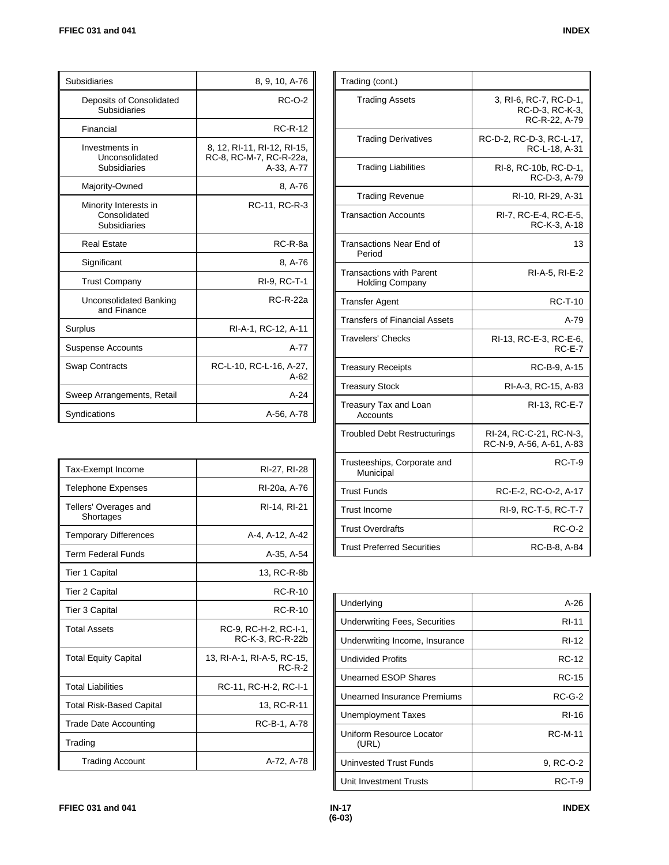| Subsidiaries                                          | 8, 9, 10, A-76                                                       |
|-------------------------------------------------------|----------------------------------------------------------------------|
| Deposits of Consolidated<br>Subsidiaries              | <b>RC-O-2</b>                                                        |
| Financial                                             | <b>RC-R-12</b>                                                       |
| Investments in<br>Unconsolidated<br>Subsidiaries      | 8, 12, RI-11, RI-12, RI-15,<br>RC-8, RC-M-7, RC-R-22a,<br>A-33, A-77 |
| Majority-Owned                                        | 8, A-76                                                              |
| Minority Interests in<br>Consolidated<br>Subsidiaries | RC-11, RC-R-3                                                        |
| <b>Real Estate</b>                                    | RC-R-8a                                                              |
| Significant                                           | 8, A-76                                                              |
| <b>Trust Company</b>                                  | RI-9, RC-T-1                                                         |
| Unconsolidated Banking<br>and Finance                 | <b>RC-R-22a</b>                                                      |
| Surplus                                               | RI-A-1, RC-12, A-11                                                  |
| <b>Suspense Accounts</b>                              | A-77                                                                 |
| <b>Swap Contracts</b>                                 | RC-L-10, RC-L-16, A-27,<br>$A-62$                                    |
| Sweep Arrangements, Retail                            | $A-24$                                                               |
| Syndications                                          | A-56, A-78                                                           |

| <b>Tax-Exempt Income</b>           | RI-27, RI-28                              |
|------------------------------------|-------------------------------------------|
| Telephone Expenses                 | RI-20a, A-76                              |
| Tellers' Overages and<br>Shortages | RI-14, RI-21                              |
| <b>Temporary Differences</b>       | A-4, A-12, A-42                           |
| Term Federal Funds                 | A-35, A-54                                |
| Tier 1 Capital                     | 13, RC-R-8b                               |
| Tier 2 Capital                     | $RC-R-10$                                 |
| Tier 3 Capital                     | $RC-R-10$                                 |
| <b>Total Assets</b>                | RC-9, RC-H-2, RC-I-1,<br>RC-K-3, RC-R-22b |
| <b>Total Equity Capital</b>        | 13, RI-A-1, RI-A-5, RC-15,<br>$RC-R-2$    |
| <b>Total Liabilities</b>           | RC-11, RC-H-2, RC-I-1                     |
| <b>Total Risk-Based Capital</b>    | 13, RC-R-11                               |
| <b>Trade Date Accounting</b>       | RC-B-1, A-78                              |
| Trading                            |                                           |
| <b>Trading Account</b>             | A-72, A-78                                |

| Trading (cont.)                                           |                                                            |
|-----------------------------------------------------------|------------------------------------------------------------|
| <b>Trading Assets</b>                                     | 3, RI-6, RC-7, RC-D-1,<br>RC-D-3, RC-K-3,<br>RC-R-22, A-79 |
| <b>Trading Derivatives</b>                                | RC-D-2, RC-D-3, RC-L-17,<br>RC-L-18, A-31                  |
| <b>Trading Liabilities</b>                                | RI-8, RC-10b, RC-D-1,<br>RC-D-3, A-79                      |
| <b>Trading Revenue</b>                                    | RI-10, RI-29, A-31                                         |
| Transaction Accounts                                      | RI-7, RC-E-4, RC-E-5,<br>RC-K-3, A-18                      |
| <b>Transactions Near End of</b><br>Period                 | 13                                                         |
| <b>Transactions with Parent</b><br><b>Holding Company</b> | RI-A-5, RI-E-2                                             |
| <b>Transfer Agent</b>                                     | <b>RC-T-10</b>                                             |
| <b>Transfers of Financial Assets</b>                      | $A-79$                                                     |
| <b>Travelers' Checks</b>                                  | RI-13, RC-E-3, RC-E-6,<br>$RC-E-7$                         |
| <b>Treasury Receipts</b>                                  | RC-B-9, A-15                                               |
| <b>Treasury Stock</b>                                     | RI-A-3, RC-15, A-83                                        |
| Treasury Tax and Loan<br>Accounts                         | RI-13, RC-E-7                                              |
| <b>Troubled Debt Restructurings</b>                       | RI-24, RC-C-21, RC-N-3,<br>RC-N-9, A-56, A-61, A-83        |
| Trusteeships, Corporate and<br>Municipal                  | $RC-T-9$                                                   |
| <b>Trust Funds</b>                                        | RC-E-2, RC-O-2, A-17                                       |
| <b>Trust Income</b>                                       | RI-9, RC-T-5, RC-T-7                                       |
| <b>Trust Overdrafts</b>                                   | RC-O-2                                                     |
| <b>Trust Preferred Securities</b>                         | RC-B-8, A-84                                               |

| Underlying                           | A-26           |
|--------------------------------------|----------------|
| <b>Underwriting Fees, Securities</b> | <b>RI-11</b>   |
| Underwriting Income, Insurance       | RI-12          |
| <b>Undivided Profits</b>             | <b>RC-12</b>   |
| Unearned ESOP Shares                 | RC-15          |
| Unearned Insurance Premiums          | $RC-G-2$       |
| Unemployment Taxes                   | RI-16          |
| Uniform Resource Locator<br>(URL)    | <b>RC-M-11</b> |
| <b>Uninvested Trust Funds</b>        | 9, RC-O-2      |
| Unit Investment Trusts               | RC-T-9         |